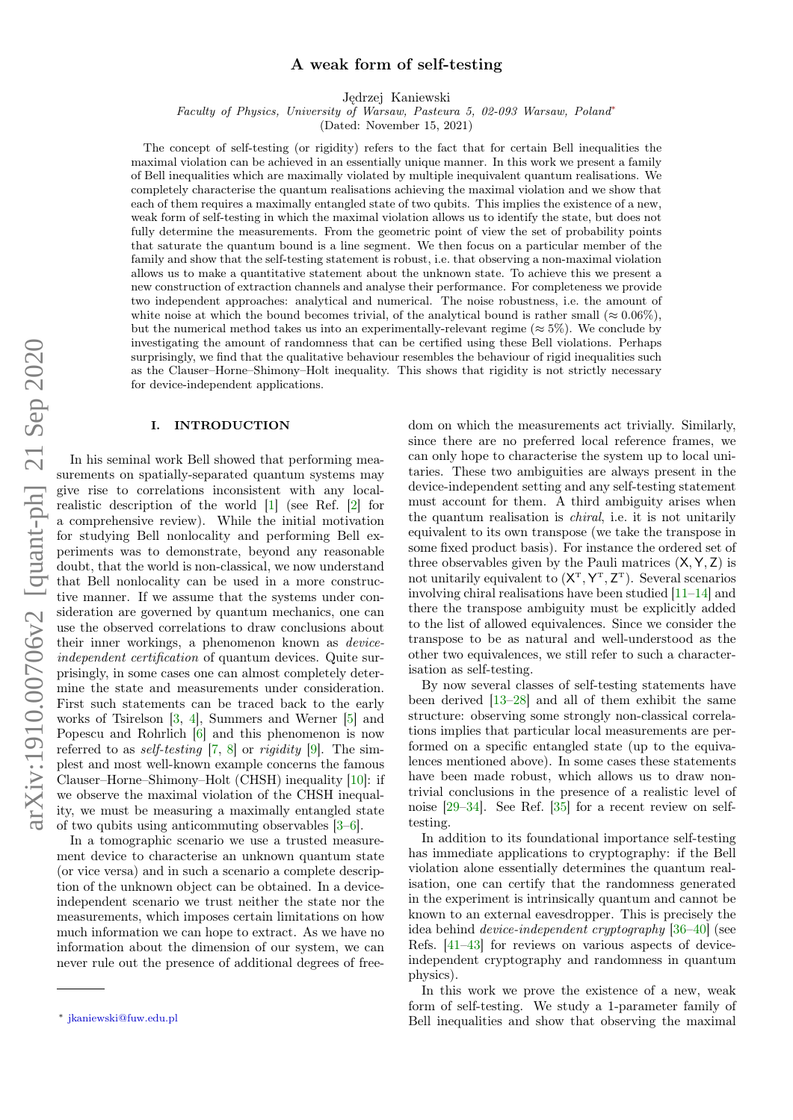# arXiv:1910.00706v2 [quant-ph] 21 Sep 2020 arXiv:1910.00706v2 [quant-ph] 21 Sep 2020

# A weak form of self-testing

Jędrzej Kaniewski

Faculty of Physics, University of Warsaw, Pasteura 5, 02-093 Warsaw, Poland[∗](#page-0-0)

(Dated: November 15, 2021)

The concept of self-testing (or rigidity) refers to the fact that for certain Bell inequalities the maximal violation can be achieved in an essentially unique manner. In this work we present a family of Bell inequalities which are maximally violated by multiple inequivalent quantum realisations. We completely characterise the quantum realisations achieving the maximal violation and we show that each of them requires a maximally entangled state of two qubits. This implies the existence of a new, weak form of self-testing in which the maximal violation allows us to identify the state, but does not fully determine the measurements. From the geometric point of view the set of probability points that saturate the quantum bound is a line segment. We then focus on a particular member of the family and show that the self-testing statement is robust, i.e. that observing a non-maximal violation allows us to make a quantitative statement about the unknown state. To achieve this we present a new construction of extraction channels and analyse their performance. For completeness we provide two independent approaches: analytical and numerical. The noise robustness, i.e. the amount of white noise at which the bound becomes trivial, of the analytical bound is rather small ( $\approx 0.06\%$ ), but the numerical method takes us into an experimentally-relevant regime ( $\approx$  5%). We conclude by investigating the amount of randomness that can be certified using these Bell violations. Perhaps surprisingly, we find that the qualitative behaviour resembles the behaviour of rigid inequalities such as the Clauser–Horne–Shimony–Holt inequality. This shows that rigidity is not strictly necessary for device-independent applications.

# I. INTRODUCTION

In his seminal work Bell showed that performing measurements on spatially-separated quantum systems may give rise to correlations inconsistent with any localrealistic description of the world [\[1\]](#page-14-0) (see Ref. [\[2\]](#page-14-1) for a comprehensive review). While the initial motivation for studying Bell nonlocality and performing Bell experiments was to demonstrate, beyond any reasonable doubt, that the world is non-classical, we now understand that Bell nonlocality can be used in a more constructive manner. If we assume that the systems under consideration are governed by quantum mechanics, one can use the observed correlations to draw conclusions about their inner workings, a phenomenon known as deviceindependent certification of quantum devices. Quite surprisingly, in some cases one can almost completely determine the state and measurements under consideration. First such statements can be traced back to the early works of Tsirelson [\[3,](#page-14-2) [4\]](#page-14-3), Summers and Werner [\[5\]](#page-14-4) and Popescu and Rohrlich [\[6\]](#page-14-5) and this phenomenon is now referred to as *self-testing* [\[7,](#page-14-6) [8\]](#page-14-7) or *rigidity* [\[9\]](#page-14-8). The simplest and most well-known example concerns the famous Clauser–Horne–Shimony–Holt (CHSH) inequality [\[10\]](#page-14-9): if we observe the maximal violation of the CHSH inequality, we must be measuring a maximally entangled state of two qubits using anticommuting observables [\[3–](#page-14-2)[6\]](#page-14-5).

In a tomographic scenario we use a trusted measurement device to characterise an unknown quantum state (or vice versa) and in such a scenario a complete description of the unknown object can be obtained. In a deviceindependent scenario we trust neither the state nor the measurements, which imposes certain limitations on how much information we can hope to extract. As we have no information about the dimension of our system, we can never rule out the presence of additional degrees of freedom on which the measurements act trivially. Similarly, since there are no preferred local reference frames, we can only hope to characterise the system up to local unitaries. These two ambiguities are always present in the device-independent setting and any self-testing statement must account for them. A third ambiguity arises when the quantum realisation is chiral, i.e. it is not unitarily equivalent to its own transpose (we take the transpose in some fixed product basis). For instance the ordered set of three observables given by the Pauli matrices (X, Y, Z) is not unitarily equivalent to  $(X<sup>T</sup>, Y<sup>T</sup>, Z<sup>T</sup>)$ . Several scenarios involving chiral realisations have been studied [\[11–](#page-14-10)[14\]](#page-15-0) and there the transpose ambiguity must be explicitly added to the list of allowed equivalences. Since we consider the transpose to be as natural and well-understood as the other two equivalences, we still refer to such a characterisation as self-testing.

By now several classes of self-testing statements have been derived [\[13](#page-15-1)[–28\]](#page-15-2) and all of them exhibit the same structure: observing some strongly non-classical correlations implies that particular local measurements are performed on a specific entangled state (up to the equivalences mentioned above). In some cases these statements have been made robust, which allows us to draw nontrivial conclusions in the presence of a realistic level of noise [\[29](#page-15-3)[–34\]](#page-15-4). See Ref. [\[35\]](#page-15-5) for a recent review on selftesting.

In addition to its foundational importance self-testing has immediate applications to cryptography: if the Bell violation alone essentially determines the quantum realisation, one can certify that the randomness generated in the experiment is intrinsically quantum and cannot be known to an external eavesdropper. This is precisely the idea behind device-independent cryptography [\[36–](#page-15-6)[40\]](#page-15-7) (see Refs. [\[41–](#page-15-8)[43\]](#page-15-9) for reviews on various aspects of deviceindependent cryptography and randomness in quantum physics).

In this work we prove the existence of a new, weak form of self-testing. We study a 1-parameter family of Bell inequalities and show that observing the maximal

<span id="page-0-0"></span><sup>∗</sup> [jkaniewski@fuw.edu.pl](mailto:jkaniewski@fuw.edu.pl)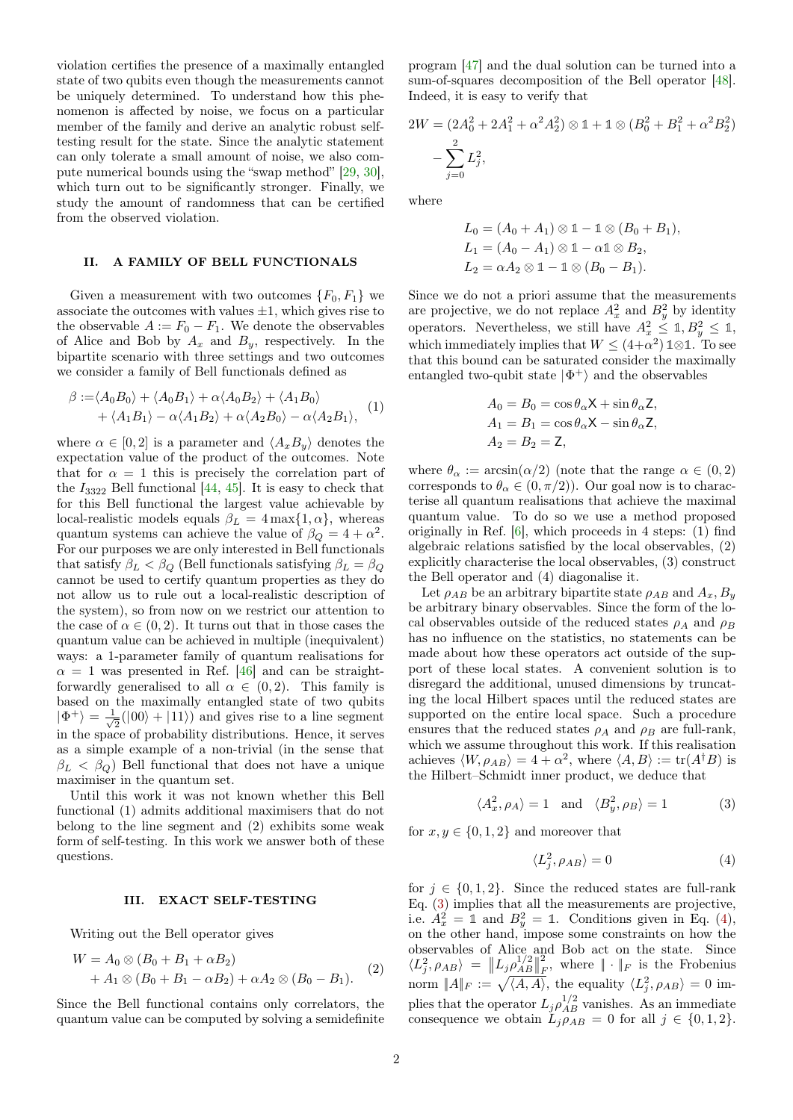violation certifies the presence of a maximally entangled state of two qubits even though the measurements cannot be uniquely determined. To understand how this phenomenon is affected by noise, we focus on a particular member of the family and derive an analytic robust selftesting result for the state. Since the analytic statement can only tolerate a small amount of noise, we also compute numerical bounds using the "swap method" [\[29,](#page-15-3) [30\]](#page-15-10), which turn out to be significantly stronger. Finally, we study the amount of randomness that can be certified from the observed violation.

# II. A FAMILY OF BELL FUNCTIONALS

Given a measurement with two outcomes  $\{F_0, F_1\}$  we associate the outcomes with values  $\pm 1$ , which gives rise to the observable  $A := F_0 - F_1$ . We denote the observables of Alice and Bob by  $A_x$  and  $B_y$ , respectively. In the bipartite scenario with three settings and two outcomes we consider a family of Bell functionals defined as

$$
\beta := \langle A_0 B_0 \rangle + \langle A_0 B_1 \rangle + \alpha \langle A_0 B_2 \rangle + \langle A_1 B_0 \rangle + \langle A_1 B_1 \rangle - \alpha \langle A_1 B_2 \rangle + \alpha \langle A_2 B_0 \rangle - \alpha \langle A_2 B_1 \rangle,
$$
 (1)

where  $\alpha \in [0,2]$  is a parameter and  $\langle A_xB_y \rangle$  denotes the expectation value of the product of the outcomes. Note that for  $\alpha = 1$  this is precisely the correlation part of the  $I_{3322}$  Bell functional [\[44,](#page-15-11) [45\]](#page-15-12). It is easy to check that for this Bell functional the largest value achievable by local-realistic models equals  $\beta_L = 4 \max\{1, \alpha\}$ , whereas quantum systems can achieve the value of  $\beta_Q = 4 + \alpha^2$ . For our purposes we are only interested in Bell functionals that satisfy  $\beta_L < \beta_Q$  (Bell functionals satisfying  $\beta_L = \beta_Q$ cannot be used to certify quantum properties as they do not allow us to rule out a local-realistic description of the system), so from now on we restrict our attention to the case of  $\alpha \in (0, 2)$ . It turns out that in those cases the quantum value can be achieved in multiple (inequivalent) ways: a 1-parameter family of quantum realisations for  $\alpha = 1$  was presented in Ref. [\[46\]](#page-15-13) and can be straightforwardly generalised to all  $\alpha \in (0, 2)$ . This family is based on the maximally entangled state of two qubits  $|\Phi^+\rangle = \frac{1}{\sqrt{2}}$  $\overline{2}(100\rangle + 111\rangle)$  and gives rise to a line segment in the space of probability distributions. Hence, it serves as a simple example of a non-trivial (in the sense that  $\beta_L < \beta_O$ ) Bell functional that does not have a unique maximiser in the quantum set.

Until this work it was not known whether this Bell functional (1) admits additional maximisers that do not belong to the line segment and (2) exhibits some weak form of self-testing. In this work we answer both of these questions.

### III. EXACT SELF-TESTING

Writing out the Bell operator gives

<span id="page-1-2"></span>
$$
W = A_0 \otimes (B_0 + B_1 + \alpha B_2) + A_1 \otimes (B_0 + B_1 - \alpha B_2) + \alpha A_2 \otimes (B_0 - B_1).
$$
 (2)

Since the Bell functional contains only correlators, the quantum value can be computed by solving a semidefinite

program [\[47\]](#page-15-14) and the dual solution can be turned into a sum-of-squares decomposition of the Bell operator [\[48\]](#page-15-15). Indeed, it is easy to verify that

$$
2W = (2A_0^2 + 2A_1^2 + \alpha^2 A_2^2) \otimes 1 + 1 \otimes (B_0^2 + B_1^2 + \alpha^2 B_2^2)
$$

$$
-\sum_{j=0}^{2} L_j^2,
$$

where

$$
L_0 = (A_0 + A_1) \otimes 1 - 1 \otimes (B_0 + B_1),
$$
  
\n
$$
L_1 = (A_0 - A_1) \otimes 1 - \alpha 1 \otimes B_2,
$$
  
\n
$$
L_2 = \alpha A_2 \otimes 1 - 1 \otimes (B_0 - B_1).
$$

Since we do not a priori assume that the measurements are projective, we do not replace  $A_x^2$  and  $B_y^2$  by identity operators. Nevertheless, we still have  $A_x^2 \leq \mathbb{1}, B_y^2 \leq \mathbb{1}$ , which immediately implies that  $W \leq (4+\alpha^2) \text{1} \otimes \text{1}$ . To see that this bound can be saturated consider the maximally entangled two-qubit state  $|\Phi^+\rangle$  and the observables

$$
A_0 = B_0 = \cos \theta_\alpha \mathsf{X} + \sin \theta_\alpha \mathsf{Z},
$$
  
\n
$$
A_1 = B_1 = \cos \theta_\alpha \mathsf{X} - \sin \theta_\alpha \mathsf{Z},
$$
  
\n
$$
A_2 = B_2 = \mathsf{Z},
$$

where  $\theta_{\alpha} := \arcsin(\alpha/2)$  (note that the range  $\alpha \in (0, 2)$ ) corresponds to  $\theta_{\alpha} \in (0, \pi/2)$ . Our goal now is to characterise all quantum realisations that achieve the maximal quantum value. To do so we use a method proposed originally in Ref. [\[6\]](#page-14-5), which proceeds in 4 steps: (1) find algebraic relations satisfied by the local observables, (2) explicitly characterise the local observables, (3) construct the Bell operator and (4) diagonalise it.

Let  $\rho_{AB}$  be an arbitrary bipartite state  $\rho_{AB}$  and  $A_x, B_y$ be arbitrary binary observables. Since the form of the local observables outside of the reduced states  $\rho_A$  and  $\rho_B$ has no influence on the statistics, no statements can be made about how these operators act outside of the support of these local states. A convenient solution is to disregard the additional, unused dimensions by truncating the local Hilbert spaces until the reduced states are supported on the entire local space. Such a procedure ensures that the reduced states  $\rho_A$  and  $\rho_B$  are full-rank, which we assume throughout this work. If this realisation achieves  $\langle W, \rho_{AB} \rangle = 4 + \alpha^2$ , where  $\langle A, B \rangle := \text{tr}(A^{\dagger}B)$  is the Hilbert–Schmidt inner product, we deduce that

<span id="page-1-0"></span>
$$
\langle A_x^2, \rho_A \rangle = 1 \quad \text{and} \quad \langle B_y^2, \rho_B \rangle = 1 \tag{3}
$$

for  $x, y \in \{0, 1, 2\}$  and moreover that

<span id="page-1-1"></span>
$$
\langle L_j^2, \rho_{AB} \rangle = 0 \tag{4}
$$

for  $j \in \{0, 1, 2\}$ . Since the reduced states are full-rank Eq. [\(3\)](#page-1-0) implies that all the measurements are projective, i.e.  $A_x^2 = \mathbb{1}$  and  $B_y^2 = \mathbb{1}$ . Conditions given in Eq. [\(4\)](#page-1-1), on the other hand, impose some constraints on how the observables of Alice and Bob act on the state. Since  $\langle L_j^2, \rho_{AB} \rangle = ||L_j \rho_{AB}^{1/2}$  $\frac{1/2}{AB}$  $\overline{2}$  $\frac{2}{F}$ , where  $\|\cdot\|_F$  is the Frobenius norm  $||A||_F := \sqrt{\langle A,A \rangle}$ , the equality  $\langle L_j^2, \rho_{AB} \rangle = 0$  implies that the operator  $L_j \rho_{AB}^{1/2}$  vanishes. As an immediate consequence we obtain  $L_j \rho_{AB} = 0$  for all  $j \in \{0, 1, 2\}.$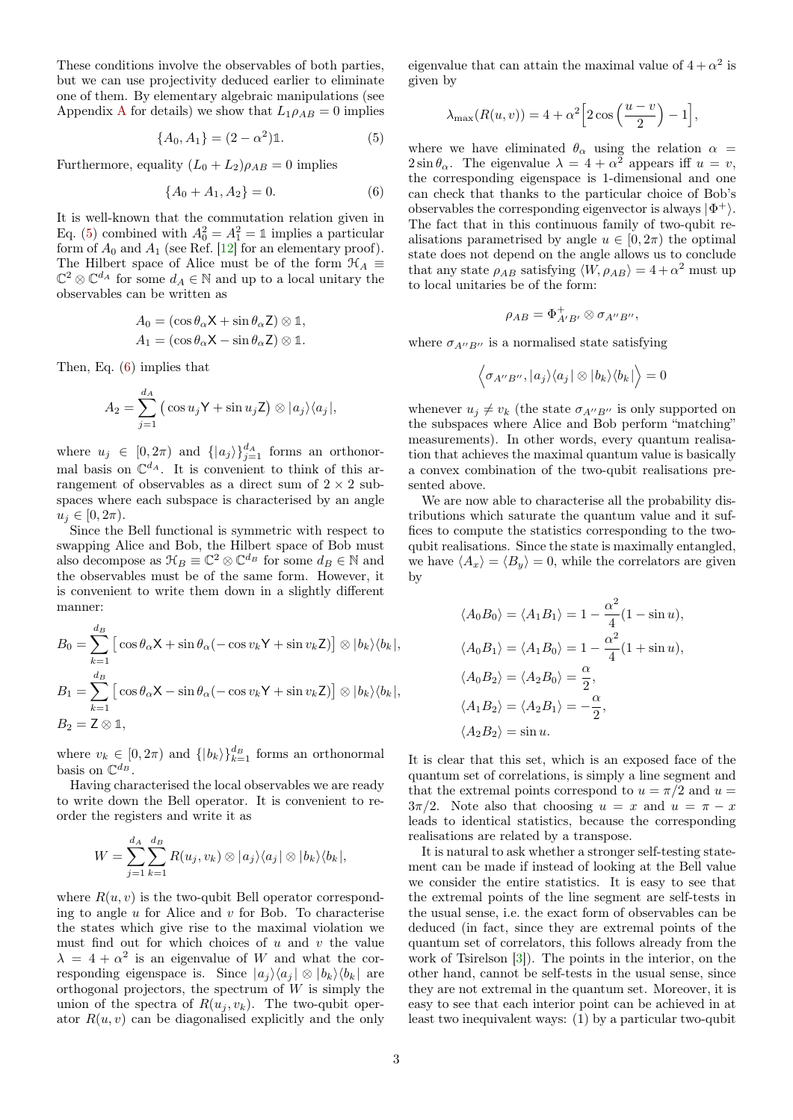These conditions involve the observables of both parties, but we can use projectivity deduced earlier to eliminate one of them. By elementary algebraic manipulations (see [A](#page-4-0)ppendix A for details) we show that  $L_1 \rho_{AB} = 0$  implies

<span id="page-2-0"></span>
$$
\{A_0, A_1\} = (2 - \alpha^2) \mathbb{1}.
$$
 (5)

Furthermore, equality  $(L_0 + L_2)\rho_{AB} = 0$  implies

<span id="page-2-1"></span>
$$
\{A_0 + A_1, A_2\} = 0. \tag{6}
$$

It is well-known that the commutation relation given in Eq. [\(5\)](#page-2-0) combined with  $A_0^2 = A_1^2 = \mathbb{1}$  implies a particular form of  $A_0$  and  $A_1$  (see Ref. [\[12\]](#page-15-16) for an elementary proof). The Hilbert space of Alice must be of the form  $\mathcal{H}_A \equiv$  $\mathbb{C}^2 \otimes \mathbb{C}^{d_A}$  for some  $d_A \in \mathbb{N}$  and up to a local unitary the observables can be written as

$$
A_0 = (\cos \theta_\alpha \mathsf{X} + \sin \theta_\alpha \mathsf{Z}) \otimes \mathbb{1},
$$
  

$$
A_1 = (\cos \theta_\alpha \mathsf{X} - \sin \theta_\alpha \mathsf{Z}) \otimes \mathbb{1}.
$$

Then, Eq. [\(6\)](#page-2-1) implies that

$$
A_2 = \sum_{j=1}^{d_A} (\cos u_j \mathsf{Y} + \sin u_j \mathsf{Z}) \otimes |a_j\rangle\langle a_j|,
$$

where  $u_j \in [0, 2\pi)$  and  $\{|a_j\rangle\}_{j=1}^{d_A}$  forms an orthonormal basis on  $\mathbb{C}^{d_A}$ . It is convenient to think of this arrangement of observables as a direct sum of  $2 \times 2$  subspaces where each subspace is characterised by an angle  $u_j \in [0, 2\pi)$ .

Since the Bell functional is symmetric with respect to swapping Alice and Bob, the Hilbert space of Bob must also decompose as  $\mathcal{H}_B \equiv \mathbb{C}^2 \otimes \mathbb{C}^{d_B}$  for some  $d_B \in \mathbb{N}$  and the observables must be of the same form. However, it is convenient to write them down in a slightly different manner:

$$
B_0 = \sum_{k=1}^{d_B} \left[ \cos \theta_\alpha \mathsf{X} + \sin \theta_\alpha (-\cos v_k \mathsf{Y} + \sin v_k \mathsf{Z}) \right] \otimes |b_k\rangle \langle b_k|,
$$
  
\n
$$
B_1 = \sum_{k=1}^{d_B} \left[ \cos \theta_\alpha \mathsf{X} - \sin \theta_\alpha (-\cos v_k \mathsf{Y} + \sin v_k \mathsf{Z}) \right] \otimes |b_k\rangle \langle b_k|,
$$
  
\n
$$
B_2 = \mathsf{Z} \otimes \mathbb{1},
$$

where  $v_k \in [0, 2\pi)$  and  $\{|b_k\rangle\}_{k=1}^{d_B}$  forms an orthonormal basis on  $\mathbb{C}^{d_B}$ .

Having characterised the local observables we are ready to write down the Bell operator. It is convenient to reorder the registers and write it as

$$
W = \sum_{j=1}^{d_A} \sum_{k=1}^{d_B} R(u_j, v_k) \otimes |a_j\rangle\langle a_j| \otimes |b_k\rangle\langle b_k|,
$$

where  $R(u, v)$  is the two-qubit Bell operator corresponding to angle  $u$  for Alice and  $v$  for Bob. To characterise the states which give rise to the maximal violation we must find out for which choices of  $u$  and  $v$  the value  $\lambda = 4 + \alpha^2$  is an eigenvalue of W and what the corresponding eigenspace is. Since  $|a_j\rangle\langle a_j | \otimes | b_k \rangle\langle b_k |$  are orthogonal projectors, the spectrum of  $W$  is simply the union of the spectra of  $R(u_i, v_k)$ . The two-qubit operator  $R(u, v)$  can be diagonalised explicitly and the only

eigenvalue that can attain the maximal value of  $4 + \alpha^2$  is given by

$$
\lambda_{\max}(R(u,v)) = 4 + \alpha^2 \left[2 \cos\left(\frac{u-v}{2}\right) - 1\right],
$$

where we have eliminated  $\theta_{\alpha}$  using the relation  $\alpha$  =  $2\sin\theta_{\alpha}$ . The eigenvalue  $\lambda = 4 + \alpha^2$  appears iff  $u = v$ , the corresponding eigenspace is 1-dimensional and one can check that thanks to the particular choice of Bob's observables the corresponding eigenvector is always  $|\Phi^+\rangle$ . The fact that in this continuous family of two-qubit realisations parametrised by angle  $u \in [0, 2\pi)$  the optimal state does not depend on the angle allows us to conclude that any state  $\rho_{AB}$  satisfying  $\langle W, \rho_{AB} \rangle = 4 + \alpha^2$  must up to local unitaries be of the form:

$$
\rho_{AB}=\Phi^{+}_{A'B'}\otimes \sigma_{A''B''},
$$

where  $\sigma_{A^{\prime\prime}B^{\prime\prime}}$  is a normalised state satisfying

$$
\left\langle \sigma_{A^{\prime\prime}B^{\prime\prime}},|a_j\rangle\langle a_j|\otimes|b_k\rangle\langle b_k|\right\rangle=0
$$

whenever  $u_j \neq v_k$  (the state  $\sigma_{A''B''}$  is only supported on the subspaces where Alice and Bob perform "matching" measurements). In other words, every quantum realisation that achieves the maximal quantum value is basically a convex combination of the two-qubit realisations presented above.

We are now able to characterise all the probability distributions which saturate the quantum value and it suffices to compute the statistics corresponding to the twoqubit realisations. Since the state is maximally entangled, we have  $\langle A_x \rangle = \langle B_y \rangle = 0$ , while the correlators are given by

$$
\langle A_0 B_0 \rangle = \langle A_1 B_1 \rangle = 1 - \frac{\alpha^2}{4} (1 - \sin u),
$$
  
\n
$$
\langle A_0 B_1 \rangle = \langle A_1 B_0 \rangle = 1 - \frac{\alpha^2}{4} (1 + \sin u),
$$
  
\n
$$
\langle A_0 B_2 \rangle = \langle A_2 B_0 \rangle = \frac{\alpha}{2},
$$
  
\n
$$
\langle A_1 B_2 \rangle = \langle A_2 B_1 \rangle = -\frac{\alpha}{2},
$$
  
\n
$$
\langle A_2 B_2 \rangle = \sin u.
$$

It is clear that this set, which is an exposed face of the quantum set of correlations, is simply a line segment and that the extremal points correspond to  $u = \pi/2$  and  $u =$  $3\pi/2$ . Note also that choosing  $u = x$  and  $u = \pi - x$ leads to identical statistics, because the corresponding realisations are related by a transpose.

It is natural to ask whether a stronger self-testing statement can be made if instead of looking at the Bell value we consider the entire statistics. It is easy to see that the extremal points of the line segment are self-tests in the usual sense, i.e. the exact form of observables can be deduced (in fact, since they are extremal points of the quantum set of correlators, this follows already from the work of Tsirelson [\[3\]](#page-14-2)). The points in the interior, on the other hand, cannot be self-tests in the usual sense, since they are not extremal in the quantum set. Moreover, it is easy to see that each interior point can be achieved in at least two inequivalent ways: (1) by a particular two-qubit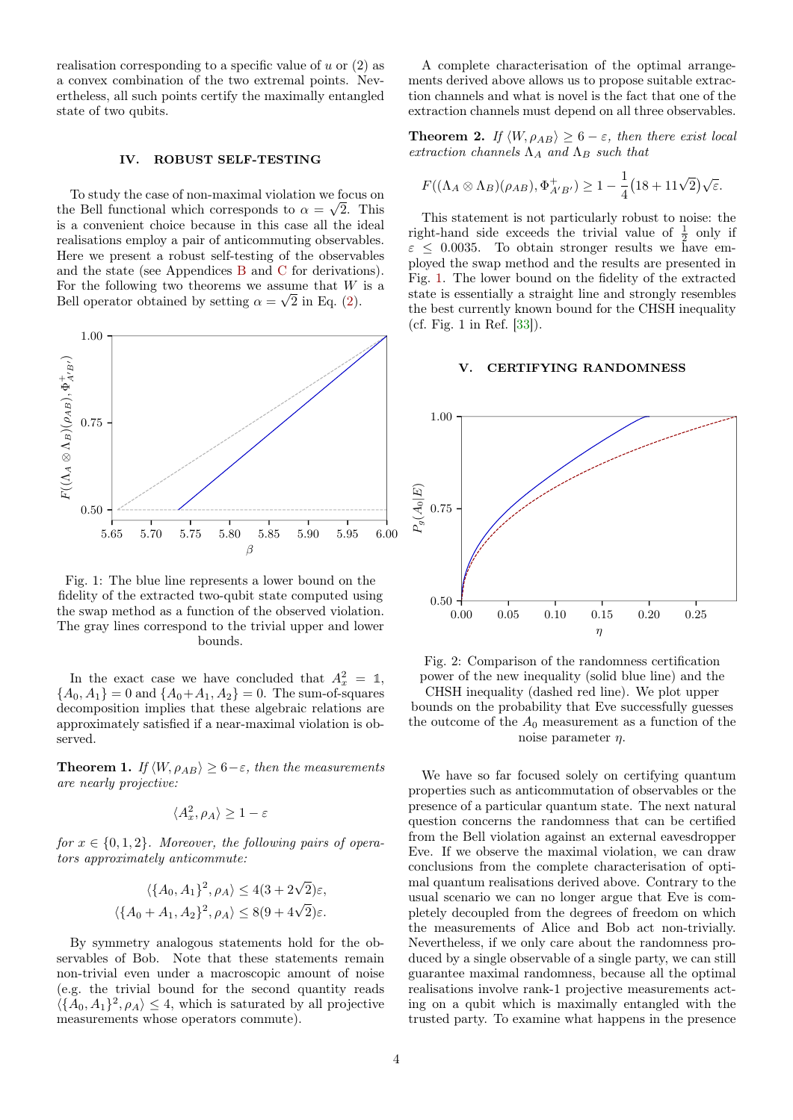realisation corresponding to a specific value of  $u$  or  $(2)$  as a convex combination of the two extremal points. Nevertheless, all such points certify the maximally entangled state of two qubits.

### IV. ROBUST SELF-TESTING

To study the case of non-maximal violation we focus on  $\sqrt{\sigma}$ the Bell functional which corresponds to  $\alpha = \sqrt{2}$ . This is a convenient choice because in this case all the ideal realisations employ a pair of anticommuting observables. Here we present a robust self-testing of the observables and the state (see Appendices [B](#page-5-0) and [C](#page-9-0) for derivations). For the following two theorems we assume that  $W$  is a Bell operator obtained by setting  $\alpha = \sqrt{2}$  in Eq. [\(2\)](#page-1-2).

<span id="page-3-0"></span>

Fig. 1: The blue line represents a lower bound on the fidelity of the extracted two-qubit state computed using the swap method as a function of the observed violation. The gray lines correspond to the trivial upper and lower bounds.

In the exact case we have concluded that  $A_x^2 = 1$ ,  ${A_0, A_1} = 0$  and  ${A_0 + A_1, A_2} = 0$ . The sum-of-squares decomposition implies that these algebraic relations are approximately satisfied if a near-maximal violation is observed.

**Theorem 1.** If  $\langle W, \rho_{AB} \rangle \ge 6 - \varepsilon$ , then the measurements are nearly projective:

$$
\langle A_x^2, \rho_A \rangle \ge 1 - \varepsilon
$$

for  $x \in \{0, 1, 2\}$ . Moreover, the following pairs of operators approximately anticommute:

$$
\langle \{A_0, A_1\}^2, \rho_A \rangle \le 4(3 + 2\sqrt{2})\varepsilon,
$$
  

$$
\langle \{A_0 + A_1, A_2\}^2, \rho_A \rangle \le 8(9 + 4\sqrt{2})\varepsilon.
$$

By symmetry analogous statements hold for the observables of Bob. Note that these statements remain non-trivial even under a macroscopic amount of noise (e.g. the trivial bound for the second quantity reads  $\langle \{A_0, A_1\}^2, \rho_A \rangle \leq 4$ , which is saturated by all projective measurements whose operators commute).

A complete characterisation of the optimal arrangements derived above allows us to propose suitable extraction channels and what is novel is the fact that one of the extraction channels must depend on all three observables.

**Theorem 2.** If  $\langle W, \rho_{AB} \rangle \ge 6 - \varepsilon$ , then there exist local extraction channels  $\Lambda_A$  and  $\Lambda_B$  such that

$$
F((\Lambda_A \otimes \Lambda_B)(\rho_{AB}), \Phi_{A'B'}^+) \ge 1 - \frac{1}{4}(18 + 11\sqrt{2})\sqrt{\varepsilon}.
$$

This statement is not particularly robust to noise: the right-hand side exceeds the trivial value of  $\frac{1}{2}$  only if  $\varepsilon \leq 0.0035$ . To obtain stronger results we have employed the swap method and the results are presented in Fig. [1.](#page-3-0) The lower bound on the fidelity of the extracted state is essentially a straight line and strongly resembles the best currently known bound for the CHSH inequality (cf. Fig. 1 in Ref. [\[33\]](#page-15-17)).

# CERTIFYING RANDOMNESS

<span id="page-3-1"></span>

Fig. 2: Comparison of the randomness certification power of the new inequality (solid blue line) and the CHSH inequality (dashed red line). We plot upper bounds on the probability that Eve successfully guesses the outcome of the  $A_0$  measurement as a function of the noise parameter  $\eta$ .

We have so far focused solely on certifying quantum properties such as anticommutation of observables or the presence of a particular quantum state. The next natural question concerns the randomness that can be certified from the Bell violation against an external eavesdropper Eve. If we observe the maximal violation, we can draw conclusions from the complete characterisation of optimal quantum realisations derived above. Contrary to the usual scenario we can no longer argue that Eve is completely decoupled from the degrees of freedom on which the measurements of Alice and Bob act non-trivially. Nevertheless, if we only care about the randomness produced by a single observable of a single party, we can still guarantee maximal randomness, because all the optimal realisations involve rank-1 projective measurements acting on a qubit which is maximally entangled with the trusted party. To examine what happens in the presence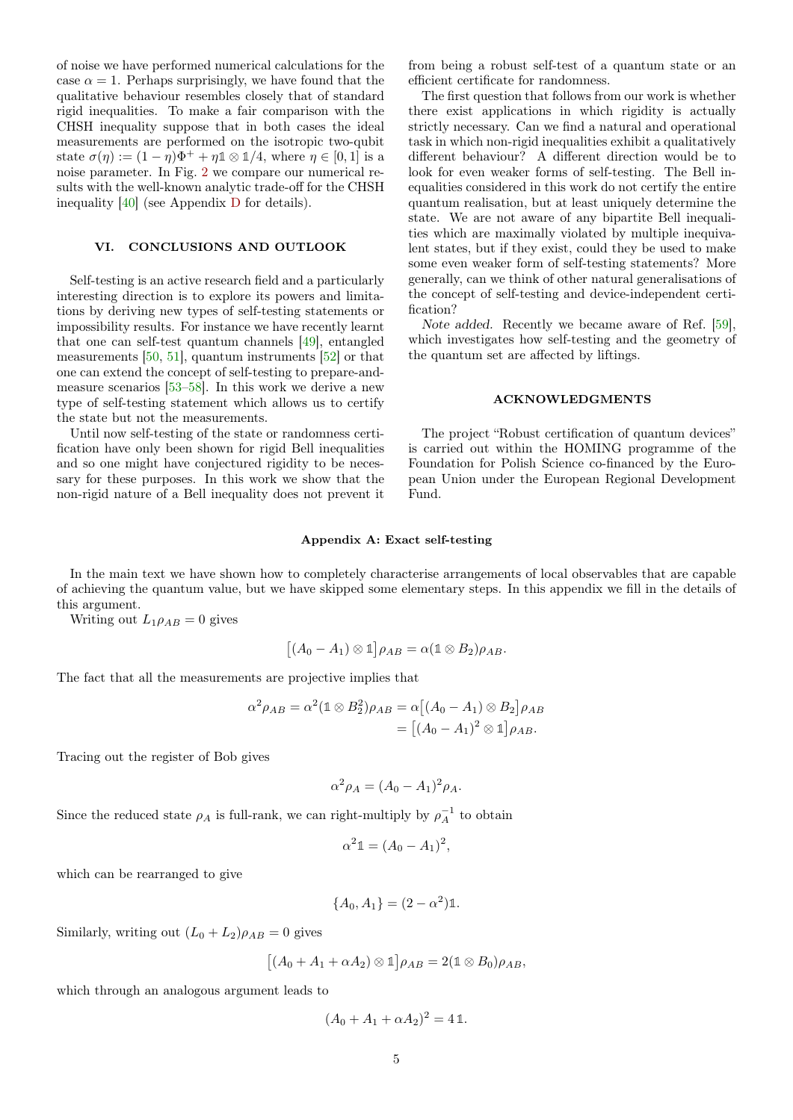of noise we have performed numerical calculations for the case  $\alpha = 1$ . Perhaps surprisingly, we have found that the qualitative behaviour resembles closely that of standard rigid inequalities. To make a fair comparison with the CHSH inequality suppose that in both cases the ideal measurements are performed on the isotropic two-qubit state  $\sigma(\eta) := (1 - \eta)\Phi^+ + \eta \mathbb{1} \otimes \mathbb{1}/4$ , where  $\eta \in [0, 1]$  is a noise parameter. In Fig. [2](#page-3-1) we compare our numerical results with the well-known analytic trade-off for the CHSH inequality [\[40\]](#page-15-7) (see Appendix [D](#page-13-0) for details).

# VI. CONCLUSIONS AND OUTLOOK

Self-testing is an active research field and a particularly interesting direction is to explore its powers and limitations by deriving new types of self-testing statements or impossibility results. For instance we have recently learnt that one can self-test quantum channels [\[49\]](#page-15-18), entangled measurements [\[50,](#page-15-19) [51\]](#page-15-20), quantum instruments [\[52\]](#page-15-21) or that one can extend the concept of self-testing to prepare-andmeasure scenarios [\[53–](#page-15-22)[58\]](#page-15-23). In this work we derive a new type of self-testing statement which allows us to certify the state but not the measurements.

Until now self-testing of the state or randomness certification have only been shown for rigid Bell inequalities and so one might have conjectured rigidity to be necessary for these purposes. In this work we show that the non-rigid nature of a Bell inequality does not prevent it

from being a robust self-test of a quantum state or an efficient certificate for randomness.

The first question that follows from our work is whether there exist applications in which rigidity is actually strictly necessary. Can we find a natural and operational task in which non-rigid inequalities exhibit a qualitatively different behaviour? A different direction would be to look for even weaker forms of self-testing. The Bell inequalities considered in this work do not certify the entire quantum realisation, but at least uniquely determine the state. We are not aware of any bipartite Bell inequalities which are maximally violated by multiple inequivalent states, but if they exist, could they be used to make some even weaker form of self-testing statements? More generally, can we think of other natural generalisations of the concept of self-testing and device-independent certification?

Note added. Recently we became aware of Ref. [\[59\]](#page-15-24), which investigates how self-testing and the geometry of the quantum set are affected by liftings.

# ACKNOWLEDGMENTS

The project "Robust certification of quantum devices" is carried out within the HOMING programme of the Foundation for Polish Science co-financed by the European Union under the European Regional Development Fund.

### <span id="page-4-0"></span>Appendix A: Exact self-testing

In the main text we have shown how to completely characterise arrangements of local observables that are capable of achieving the quantum value, but we have skipped some elementary steps. In this appendix we fill in the details of this argument.

Writing out  $L_1 \rho_{AB} = 0$  gives

$$
[(A_0-A_1)\otimes\mathbb{1}]\rho_{AB}=\alpha(\mathbb{1}\otimes B_2)\rho_{AB}.
$$

The fact that all the measurements are projective implies that

$$
\alpha^2 \rho_{AB} = \alpha^2 (\mathbb{1} \otimes B_2^2) \rho_{AB} = \alpha [(A_0 - A_1) \otimes B_2] \rho_{AB}
$$
  
= 
$$
[(A_0 - A_1)^2 \otimes \mathbb{1}] \rho_{AB}.
$$

Tracing out the register of Bob gives

$$
\alpha^2 \rho_A = (A_0 - A_1)^2 \rho_A.
$$

Since the reduced state  $\rho_A$  is full-rank, we can right-multiply by  $\rho_A^{-1}$  to obtain

$$
\alpha^2 \mathbb{1} = (A_0 - A_1)^2,
$$

which can be rearranged to give

$$
\{A_0, A_1\} = (2 - \alpha^2) \mathbb{1}.
$$

Similarly, writing out  $(L_0 + L_2)\rho_{AB} = 0$  gives

$$
[(A_0 + A_1 + \alpha A_2) \otimes \mathbb{1}] \rho_{AB} = 2(\mathbb{1} \otimes B_0) \rho_{AB},
$$

which through an analogous argument leads to

$$
(A_0 + A_1 + \alpha A_2)^2 = 4 \, \mathbb{1}.
$$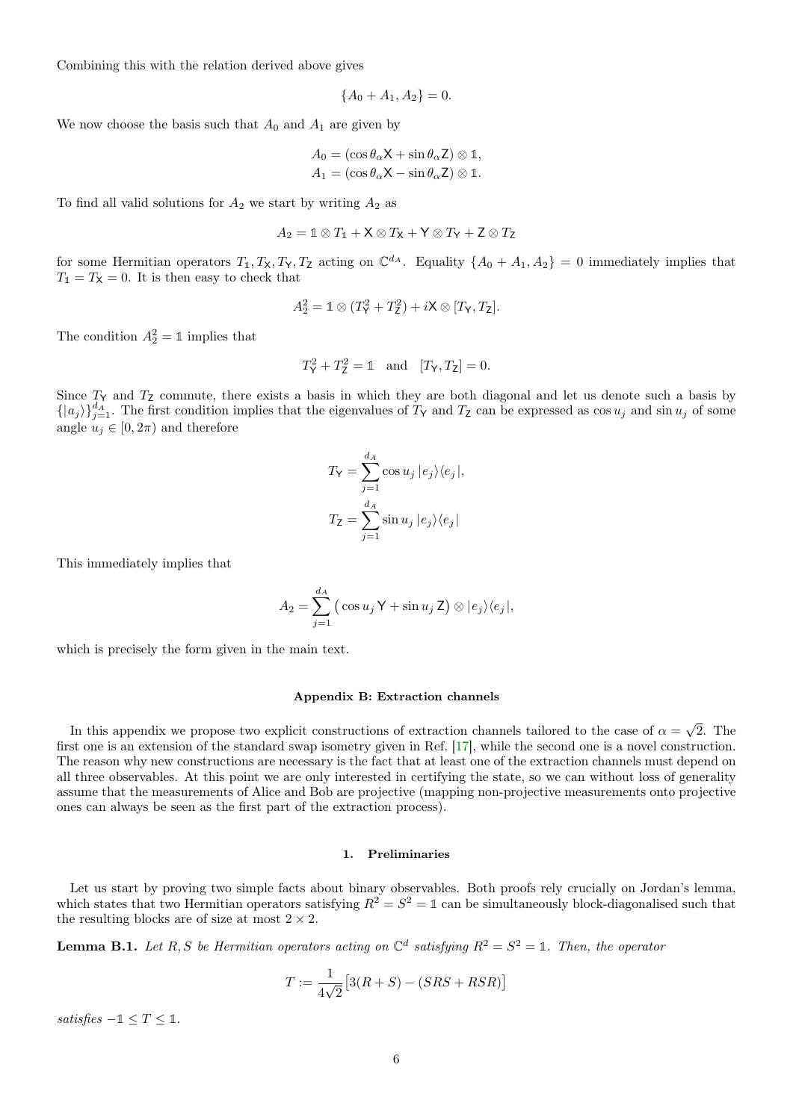Combining this with the relation derived above gives

$$
\{A_0 + A_1, A_2\} = 0.
$$

We now choose the basis such that  $A_0$  and  $A_1$  are given by

$$
A_0 = (\cos \theta_\alpha \mathsf{X} + \sin \theta_\alpha \mathsf{Z}) \otimes \mathbb{1},
$$
  

$$
A_1 = (\cos \theta_\alpha \mathsf{X} - \sin \theta_\alpha \mathsf{Z}) \otimes \mathbb{1}.
$$

To find all valid solutions for  $A_2$  we start by writing  $A_2$  as

$$
A_2=\mathbb{1}\otimes T_\mathbb{1}+\mathsf{X}\otimes T_\mathsf{X}+\mathsf{Y}\otimes T_\mathsf{Y}+\mathsf{Z}\otimes T_\mathsf{Z}
$$

for some Hermitian operators  $T_1, T_X, T_Y, T_Z$  acting on  $\mathbb{C}^{d_A}$ . Equality  $\{A_0 + A_1, A_2\} = 0$  immediately implies that  $T_1 = T_{\mathsf{X}} = 0$ . It is then easy to check that

$$
A_2^2 = \mathbb{1} \otimes (T_{\mathsf{Y}}^2 + T_{\mathsf{Z}}^2) + i\mathsf{X} \otimes [T_{\mathsf{Y}}, T_{\mathsf{Z}}].
$$

The condition  $A_2^2 = \mathbb{1}$  implies that

$$
T_Y^2 + T_Z^2 = \mathbb{1} \quad \text{and} \quad [T_Y, T_Z] = 0.
$$

Since  $T<sub>Y</sub>$  and  $T<sub>Z</sub>$  commute, there exists a basis in which they are both diagonal and let us denote such a basis by  $\{|a_j\rangle\}_{j=1}^{d_A}$ . The first condition implies that the eigenvalues of  $T_\mathsf{Y}$  and  $T_\mathsf{Z}$  can be expressed as cos  $u_j$  and sin  $u_j$  of some angle  $u_j \in [0, 2\pi)$  and therefore

$$
T_{\mathsf{Y}} = \sum_{j=1}^{d_A} \cos u_j \, |e_j\rangle\langle e_j|,
$$
  

$$
T_{\mathsf{Z}} = \sum_{j=1}^{d_A} \sin u_j \, |e_j\rangle\langle e_j|
$$

This immediately implies that

$$
A_2 = \sum_{j=1}^{d_A} (\cos u_j \mathbf{Y} + \sin u_j \mathbf{Z}) \otimes |e_j\rangle\langle e_j|,
$$

which is precisely the form given in the main text.

### <span id="page-5-0"></span>Appendix B: Extraction channels

In this appendix we propose two explicit constructions of extraction channels tailored to the case of  $\alpha =$ √ 2. The first one is an extension of the standard swap isometry given in Ref. [\[17\]](#page-15-25), while the second one is a novel construction. The reason why new constructions are necessary is the fact that at least one of the extraction channels must depend on all three observables. At this point we are only interested in certifying the state, so we can without loss of generality assume that the measurements of Alice and Bob are projective (mapping non-projective measurements onto projective ones can always be seen as the first part of the extraction process).

# 1. Preliminaries

Let us start by proving two simple facts about binary observables. Both proofs rely crucially on Jordan's lemma, which states that two Hermitian operators satisfying  $R^2 = S^2 = \mathbb{1}$  can be simultaneously block-diagonalised such that the resulting blocks are of size at most  $2 \times 2$ .

<span id="page-5-1"></span>**Lemma B.1.** Let R, S be Hermitian operators acting on  $\mathbb{C}^d$  satisfying  $R^2 = S^2 = \mathbb{1}$ . Then, the operator

$$
T := \frac{1}{4\sqrt{2}} \left[ 3(R+S) - (SRS + RSR) \right]
$$

 $satisfies -1 \leq T \leq \mathbb{1}.$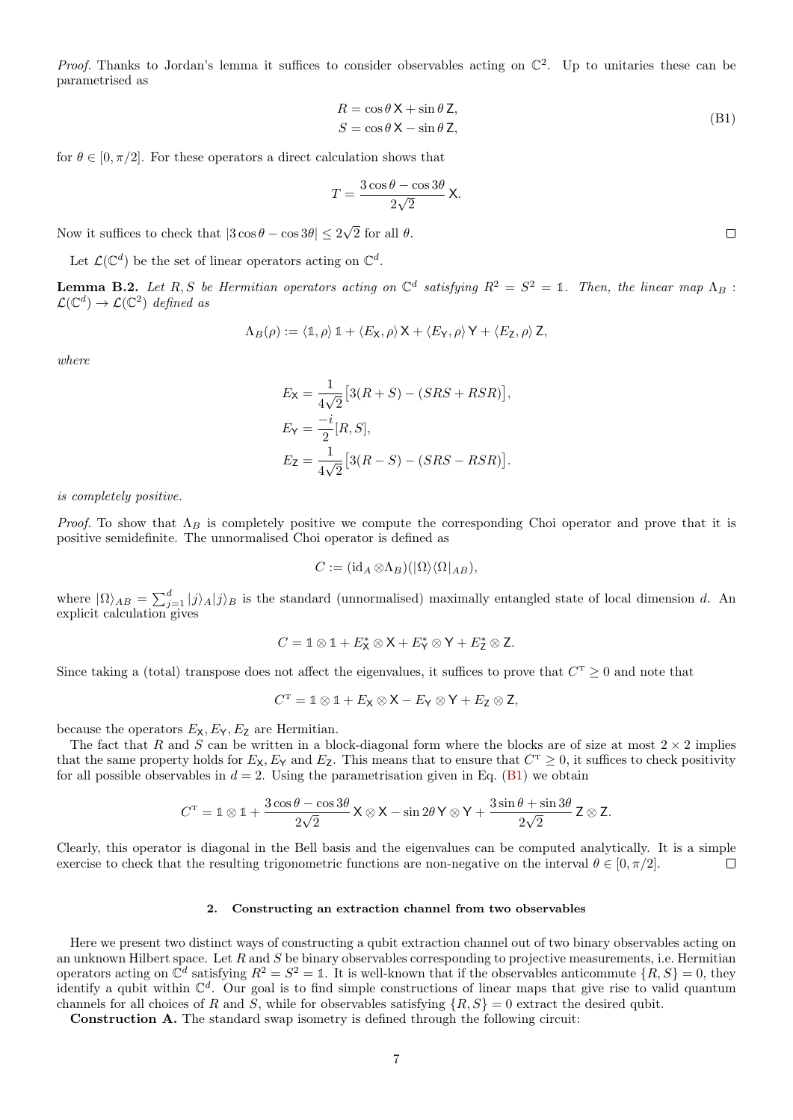*Proof.* Thanks to Jordan's lemma it suffices to consider observables acting on  $\mathbb{C}^2$ . Up to unitaries these can be parametrised as

<span id="page-6-0"></span>
$$
R = \cos \theta \mathbf{X} + \sin \theta \mathbf{Z},
$$
  
\n
$$
S = \cos \theta \mathbf{X} - \sin \theta \mathbf{Z},
$$
\n(B1)

for  $\theta \in [0, \pi/2]$ . For these operators a direct calculation shows that

$$
T = \frac{3\cos\theta - \cos 3\theta}{2\sqrt{2}} \,\mathsf{X}.
$$

Now it suffices to check that  $|3\cos\theta - \cos 3\theta| \leq 2$ √ 2 for all  $\theta$ .

Let  $\mathcal{L}(\mathbb{C}^d)$  be the set of linear operators acting on  $\mathbb{C}^d$ .

<span id="page-6-1"></span>**Lemma B.2.** Let R, S be Hermitian operators acting on  $\mathbb{C}^d$  satisfying  $R^2 = S^2 = \mathbb{1}$ . Then, the linear map  $\Lambda_B$ :  $\mathcal{L}(\mathbb{C}^d) \to \mathcal{L}(\mathbb{C}^2)$  defined as

$$
\Lambda_B(\rho) := \langle \mathbb{1}, \rho \rangle \, \mathbb{1} + \langle E_X, \rho \rangle \, \mathsf{X} + \langle E_Y, \rho \rangle \, \mathsf{Y} + \langle E_Z, \rho \rangle \, \mathsf{Z},
$$

where

$$
E_{\mathsf{X}} = \frac{1}{4\sqrt{2}} [3(R+S) - (SRS + RSR)],
$$
  
\n
$$
E_{\mathsf{Y}} = \frac{-i}{2} [R, S],
$$
  
\n
$$
E_{\mathsf{Z}} = \frac{1}{4\sqrt{2}} [3(R-S) - (SRS - RSR)].
$$

is completely positive.

Proof. To show that  $\Lambda_B$  is completely positive we compute the corresponding Choi operator and prove that it is positive semidefinite. The unnormalised Choi operator is defined as

$$
C := (\mathrm{id}_A \otimes \Lambda_B)(\langle \Omega \rangle \langle \Omega |_{AB}),
$$

where  $|\Omega\rangle_{AB} = \sum_{j=1}^d |j\rangle_A |j\rangle_B$  is the standard (unnormalised) maximally entangled state of local dimension d. An explicit calculation gives

$$
C = \mathbb{1} \otimes \mathbb{1} + E_X^* \otimes X + E_Y^* \otimes Y + E_Z^* \otimes Z.
$$

Since taking a (total) transpose does not affect the eigenvalues, it suffices to prove that  $C^T \geq 0$  and note that

$$
C^{T} = \mathbb{1} \otimes \mathbb{1} + E_{\mathsf{X}} \otimes \mathsf{X} - E_{\mathsf{Y}} \otimes \mathsf{Y} + E_{\mathsf{Z}} \otimes \mathsf{Z},
$$

because the operators  $E_{\mathsf{X}}, E_{\mathsf{Y}}, E_{\mathsf{Z}}$  are Hermitian.

The fact that R and S can be written in a block-diagonal form where the blocks are of size at most  $2 \times 2$  implies that the same property holds for  $E_X, E_Y$  and  $E_Z$ . This means that to ensure that  $C^T \geq 0$ , it suffices to check positivity for all possible observables in  $d = 2$ . Using the parametrisation given in Eq. [\(B1\)](#page-6-0) we obtain

$$
C^{\mathrm{T}} = \mathbb{1} \otimes \mathbb{1} + \frac{3\cos\theta - \cos 3\theta}{2\sqrt{2}} \mathsf{X} \otimes \mathsf{X} - \sin 2\theta \mathsf{Y} \otimes \mathsf{Y} + \frac{3\sin\theta + \sin 3\theta}{2\sqrt{2}} \mathsf{Z} \otimes \mathsf{Z}.
$$

Clearly, this operator is diagonal in the Bell basis and the eigenvalues can be computed analytically. It is a simple exercise to check that the resulting trigonometric functions are non-negative on the interval  $\theta \in [0, \pi/2]$ .  $\Box$ 

# 2. Constructing an extraction channel from two observables

Here we present two distinct ways of constructing a qubit extraction channel out of two binary observables acting on an unknown Hilbert space. Let R and S be binary observables corresponding to projective measurements, i.e. Hermitian operators acting on  $\mathbb{C}^d$  satisfying  $R^2 = S^2 = \mathbb{1}$ . It is well-known that if the observables anticommute  $\{R, S\} = 0$ , they identify a qubit within  $\mathbb{C}^d$ . Our goal is to find simple constructions of linear maps that give rise to valid quantum channels for all choices of R and S, while for observables satisfying  $\{R, S\} = 0$  extract the desired qubit.

Construction A. The standard swap isometry is defined through the following circuit:

 $\Box$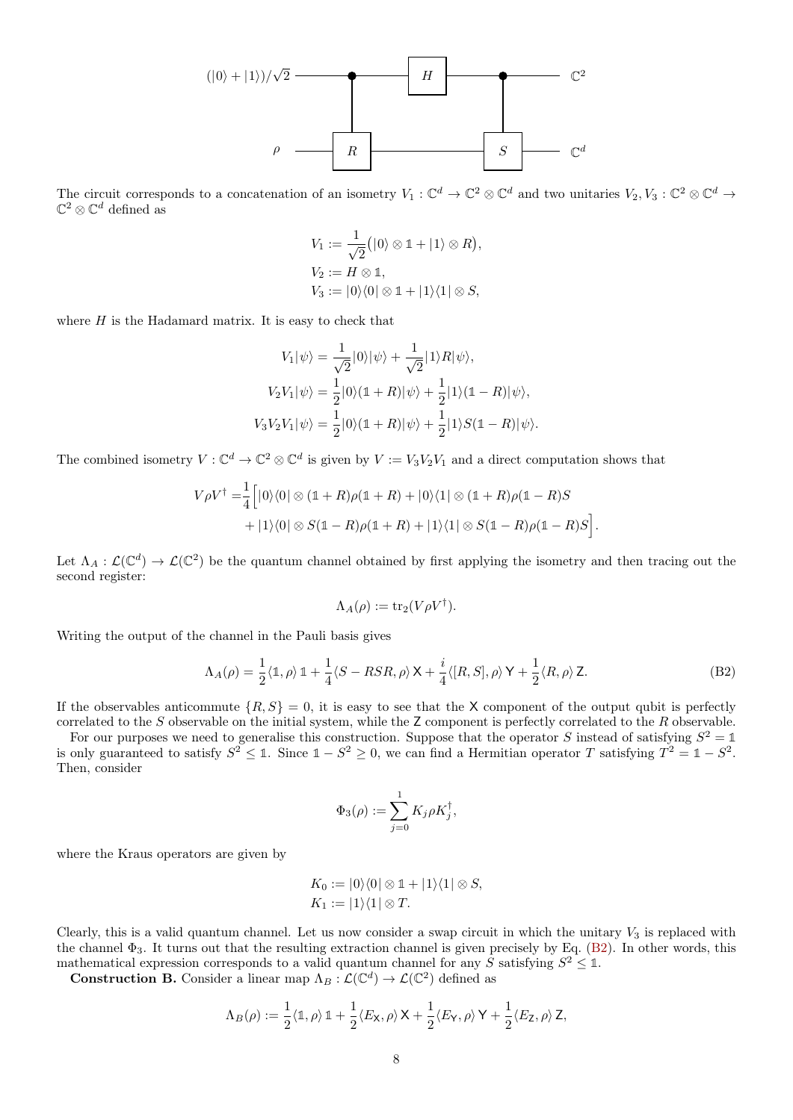

The circuit corresponds to a concatenation of an isometry  $V_1: \mathbb{C}^d \to \mathbb{C}^2 \otimes \mathbb{C}^d$  and two unitaries  $V_2, V_3: \mathbb{C}^2 \otimes \mathbb{C}^d \to$  $\mathbb{C}^2\otimes\mathbb{C}^d$  defined as

$$
V_1 := \frac{1}{\sqrt{2}} (|0\rangle \otimes 1 + |1\rangle \otimes R),
$$
  
\n
$$
V_2 := H \otimes 1,
$$
  
\n
$$
V_3 := |0\rangle\langle 0| \otimes 1 + |1\rangle\langle 1| \otimes S,
$$

where  $H$  is the Hadamard matrix. It is easy to check that

$$
V_1|\psi\rangle = \frac{1}{\sqrt{2}}|0\rangle|\psi\rangle + \frac{1}{\sqrt{2}}|1\rangle R|\psi\rangle,
$$
  
\n
$$
V_2V_1|\psi\rangle = \frac{1}{2}|0\rangle(\mathbb{1} + R)|\psi\rangle + \frac{1}{2}|1\rangle(\mathbb{1} - R)|\psi\rangle,
$$
  
\n
$$
V_3V_2V_1|\psi\rangle = \frac{1}{2}|0\rangle(\mathbb{1} + R)|\psi\rangle + \frac{1}{2}|1\rangle S(\mathbb{1} - R)|\psi\rangle.
$$

The combined isometry  $V: \mathbb{C}^d \to \mathbb{C}^2 \otimes \mathbb{C}^d$  is given by  $V := V_3 V_2 V_1$  and a direct computation shows that

$$
V\rho V^{\dagger} = \frac{1}{4} \Big[ |0\rangle\langle 0| \otimes (\mathbb{1} + R)\rho(\mathbb{1} + R) + |0\rangle\langle 1| \otimes (\mathbb{1} + R)\rho(\mathbb{1} - R)S + |1\rangle\langle 0| \otimes S(\mathbb{1} - R)\rho(\mathbb{1} + R) + |1\rangle\langle 1| \otimes S(\mathbb{1} - R)\rho(\mathbb{1} - R)S \Big].
$$

Let  $\Lambda_A: \mathcal{L}(\mathbb{C}^d) \to \mathcal{L}(\mathbb{C}^2)$  be the quantum channel obtained by first applying the isometry and then tracing out the second register:

$$
\Lambda_A(\rho):=\mathrm{tr}_2(V\rho V^\dagger).
$$

Writing the output of the channel in the Pauli basis gives

<span id="page-7-0"></span>
$$
\Lambda_A(\rho) = \frac{1}{2} \langle \mathbb{1}, \rho \rangle \mathbb{1} + \frac{1}{4} \langle S - RSR, \rho \rangle \mathsf{X} + \frac{i}{4} \langle [R, S], \rho \rangle \mathsf{Y} + \frac{1}{2} \langle R, \rho \rangle \mathsf{Z}.
$$
 (B2)

If the observables anticommute  $\{R, S\} = 0$ , it is easy to see that the X component of the output qubit is perfectly correlated to the S observable on the initial system, while the Z component is perfectly correlated to the R observable.

For our purposes we need to generalise this construction. Suppose that the operator S instead of satisfying  $S^2 = \mathbb{1}$ is only guaranteed to satisfy  $S^2 \leq \mathbb{1}$ . Since  $\mathbb{1} - S^2 \geq 0$ , we can find a Hermitian operator T satisfying  $T^2 = \mathbb{1} - S^2$ . Then, consider

$$
\Phi_3(\rho) := \sum_{j=0}^1 K_j \rho K_j^{\dagger},
$$

where the Kraus operators are given by

$$
K_0 := |0\rangle\langle 0| \otimes 1 + |1\rangle\langle 1| \otimes S,
$$
  

$$
K_1 := |1\rangle\langle 1| \otimes T.
$$

Clearly, this is a valid quantum channel. Let us now consider a swap circuit in which the unitary  $V_3$  is replaced with the channel  $\Phi_3$ . It turns out that the resulting extraction channel is given precisely by Eq. [\(B2\)](#page-7-0). In other words, this mathematical expression corresponds to a valid quantum channel for any S satisfying  $S^2 \leq 1$ .

**Construction B.** Consider a linear map  $\Lambda_B : \mathcal{L}(\mathbb{C}^d) \to \mathcal{L}(\mathbb{C}^2)$  defined as

$$
\Lambda_B(\rho) := \frac{1}{2} \langle \mathbb{1}, \rho \rangle \mathbb{1} + \frac{1}{2} \langle E_\mathsf{X}, \rho \rangle \mathsf{X} + \frac{1}{2} \langle E_\mathsf{Y}, \rho \rangle \mathsf{Y} + \frac{1}{2} \langle E_\mathsf{Z}, \rho \rangle \mathsf{Z},
$$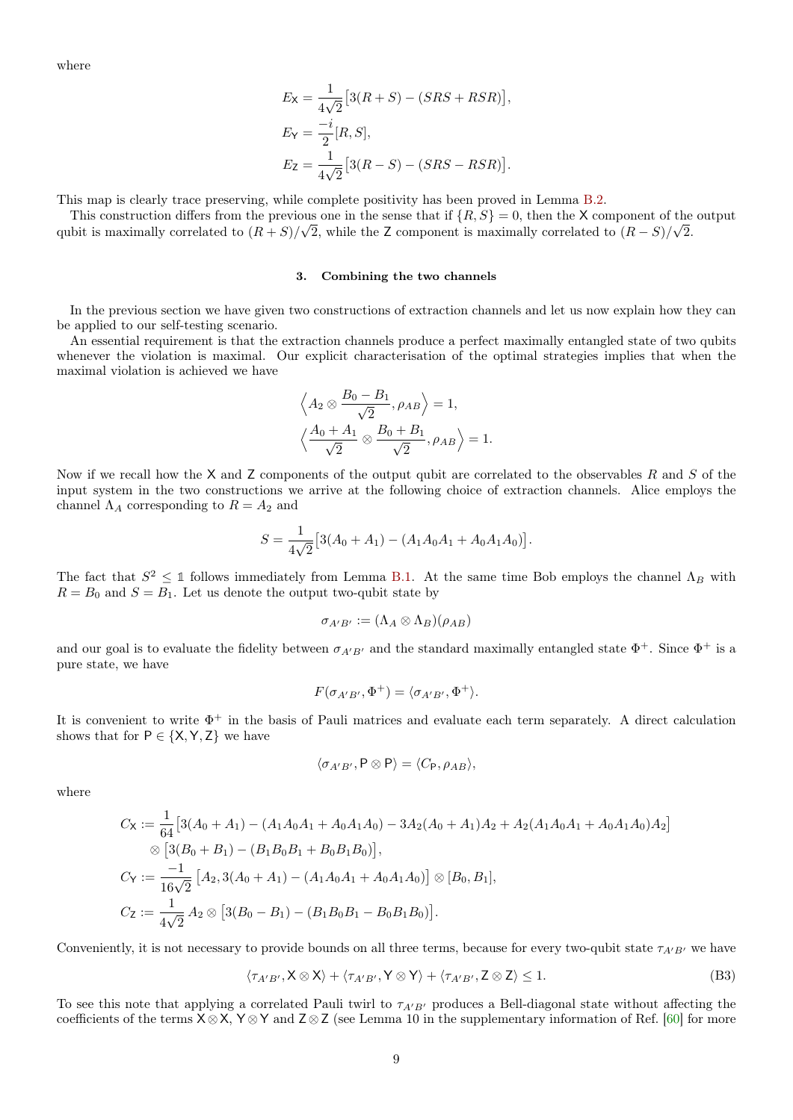where

$$
E_{\mathsf{X}} = \frac{1}{4\sqrt{2}} [3(R+S) - (SRS + RSR)],
$$
  
\n
$$
E_{\mathsf{Y}} = \frac{-i}{2} [R, S],
$$
  
\n
$$
E_{\mathsf{Z}} = \frac{1}{4\sqrt{2}} [3(R-S) - (SRS - RSR)].
$$

This map is clearly trace preserving, while complete positivity has been proved in Lemma [B.2.](#page-6-1)

This construction differs from the previous one in the sense that if  $\{R, S\} = 0$ , then the X component of the output qubit is maximally correlated to  $(R + S)/\sqrt{2}$ , while the Z component is maximally correlated to  $(R - S)/\sqrt{2}$ .

# 3. Combining the two channels

In the previous section we have given two constructions of extraction channels and let us now explain how they can be applied to our self-testing scenario.

An essential requirement is that the extraction channels produce a perfect maximally entangled state of two qubits whenever the violation is maximal. Our explicit characterisation of the optimal strategies implies that when the maximal violation is achieved we have

$$
\left\langle A_2 \otimes \frac{B_0 - B_1}{\sqrt{2}}, \rho_{AB} \right\rangle = 1,
$$
  

$$
\left\langle \frac{A_0 + A_1}{\sqrt{2}} \otimes \frac{B_0 + B_1}{\sqrt{2}}, \rho_{AB} \right\rangle = 1.
$$

Now if we recall how the X and Z components of the output qubit are correlated to the observables  $R$  and  $S$  of the input system in the two constructions we arrive at the following choice of extraction channels. Alice employs the channel  $\Lambda_A$  corresponding to  $R = A_2$  and

$$
S = \frac{1}{4\sqrt{2}} [3(A_0 + A_1) - (A_1 A_0 A_1 + A_0 A_1 A_0)].
$$

The fact that  $S^2 \leq 1$  follows immediately from Lemma [B.1.](#page-5-1) At the same time Bob employs the channel  $\Lambda_B$  with  $R = B_0$  and  $S = B_1$ . Let us denote the output two-qubit state by

$$
\sigma_{A'B'}:=(\Lambda_A\otimes\Lambda_B)(\rho_{AB})
$$

and our goal is to evaluate the fidelity between  $\sigma_{A'B'}$  and the standard maximally entangled state  $\Phi^+$ . Since  $\Phi^+$  is a pure state, we have

$$
F(\sigma_{A'B'}, \Phi^+) = \langle \sigma_{A'B'}, \Phi^+ \rangle.
$$

It is convenient to write  $\Phi^+$  in the basis of Pauli matrices and evaluate each term separately. A direct calculation shows that for  $P \in \{X, Y, Z\}$  we have

$$
\langle \sigma_{A'B'}, \mathsf{P} \otimes \mathsf{P} \rangle = \langle C_{\mathsf{P}}, \rho_{AB} \rangle,
$$

where

$$
C_{\mathsf{X}} := \frac{1}{64} \left[ 3(A_0 + A_1) - (A_1 A_0 A_1 + A_0 A_1 A_0) - 3A_2 (A_0 + A_1) A_2 + A_2 (A_1 A_0 A_1 + A_0 A_1 A_0) A_2 \right]
$$
  
\n
$$
\otimes \left[ 3(B_0 + B_1) - (B_1 B_0 B_1 + B_0 B_1 B_0) \right],
$$
  
\n
$$
C_{\mathsf{Y}} := \frac{-1}{16\sqrt{2}} \left[ A_2, 3(A_0 + A_1) - (A_1 A_0 A_1 + A_0 A_1 A_0) \right] \otimes [B_0, B_1],
$$
  
\n
$$
C_{\mathsf{Z}} := \frac{1}{4\sqrt{2}} A_2 \otimes \left[ 3(B_0 - B_1) - (B_1 B_0 B_1 - B_0 B_1 B_0) \right].
$$

Conveniently, it is not necessary to provide bounds on all three terms, because for every two-qubit state  $\tau_{A'B'}$  we have

<span id="page-8-0"></span>
$$
\langle \tau_{A'B'}, X \otimes X \rangle + \langle \tau_{A'B'}, Y \otimes Y \rangle + \langle \tau_{A'B'}, Z \otimes Z \rangle \le 1.
$$
 (B3)

To see this note that applying a correlated Pauli twirl to  $\tau_{A'B'}$  produces a Bell-diagonal state without affecting the coefficients of the terms  $X \otimes X$ , Y  $\otimes Y$  and  $Z \otimes Z$  (see Lemma 10 in the supplementary information of Ref. [\[60\]](#page-15-26) for more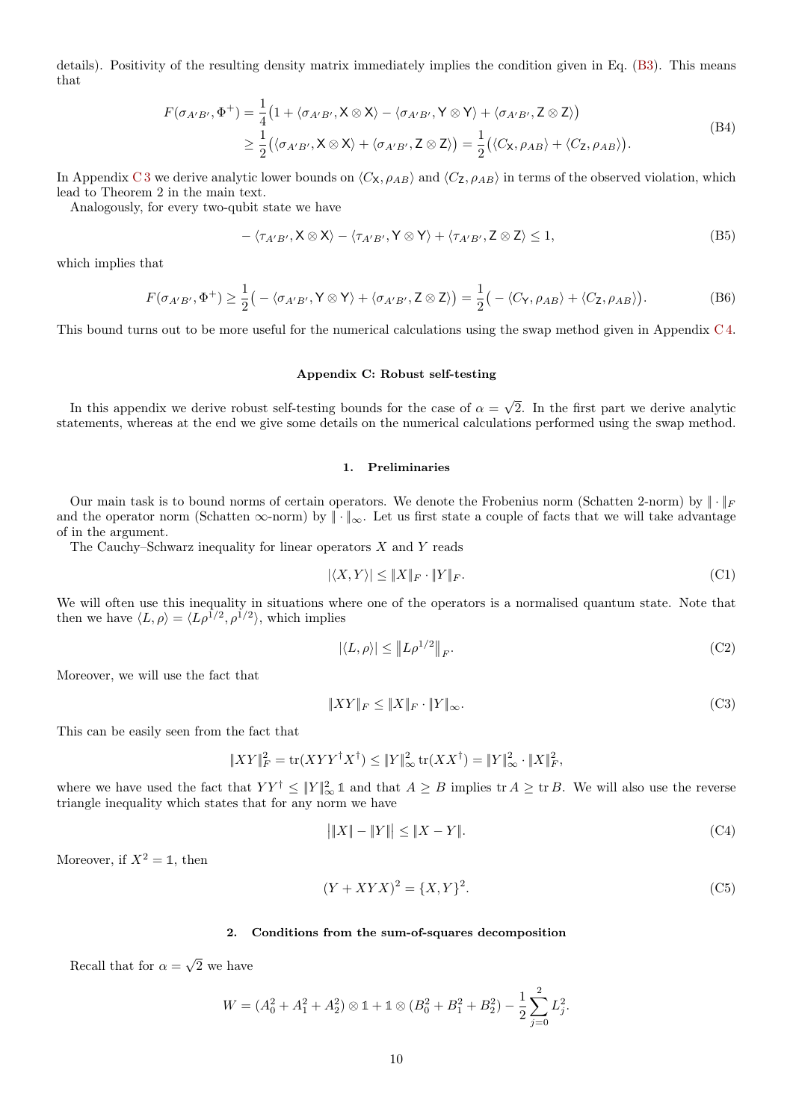details). Positivity of the resulting density matrix immediately implies the condition given in Eq. [\(B3\)](#page-8-0). This means that

<span id="page-9-3"></span>
$$
F(\sigma_{A'B'}, \Phi^+) = \frac{1}{4} \left( 1 + \langle \sigma_{A'B'}, X \otimes X \rangle - \langle \sigma_{A'B'}, Y \otimes Y \rangle + \langle \sigma_{A'B'}, Z \otimes Z \rangle \right)
$$
  
\n
$$
\geq \frac{1}{2} \left( \langle \sigma_{A'B'}, X \otimes X \rangle + \langle \sigma_{A'B'}, Z \otimes Z \rangle \right) = \frac{1}{2} \left( \langle C_X, \rho_{AB} \rangle + \langle C_Z, \rho_{AB} \rangle \right).
$$
 (B4)

In Appendix [C 3](#page-10-0) we derive analytic lower bounds on  $\langle C_{\mathsf{X}}, \rho_{AB} \rangle$  and  $\langle C_{\mathsf{Z}}, \rho_{AB} \rangle$  in terms of the observed violation, which lead to Theorem 2 in the main text.

Analogously, for every two-qubit state we have

$$
-\langle \tau_{A'B'}, X \otimes X \rangle - \langle \tau_{A'B'}, Y \otimes Y \rangle + \langle \tau_{A'B'}, Z \otimes Z \rangle \le 1, \tag{B5}
$$

which implies that

<span id="page-9-5"></span>
$$
F(\sigma_{A'B'}, \Phi^+) \ge \frac{1}{2} \big( - \langle \sigma_{A'B'}, \mathbf{Y} \otimes \mathbf{Y} \rangle + \langle \sigma_{A'B'}, \mathbf{Z} \otimes \mathbf{Z} \rangle \big) = \frac{1}{2} \big( - \langle C_{\mathbf{Y}}, \rho_{AB} \rangle + \langle C_{\mathbf{Z}}, \rho_{AB} \rangle \big).
$$
 (B6)

This bound turns out to be more useful for the numerical calculations using the swap method given in Appendix [C 4.](#page-13-1)

# <span id="page-9-0"></span>Appendix C: Robust self-testing

In this appendix we derive robust self-testing bounds for the case of  $\alpha =$ √ 2. In the first part we derive analytic statements, whereas at the end we give some details on the numerical calculations performed using the swap method.

### 1. Preliminaries

Our main task is to bound norms of certain operators. We denote the Frobenius norm (Schatten 2-norm) by  $\|\cdot\|_F$ and the operator norm (Schatten  $\infty$ -norm) by  $\|\cdot\|_{\infty}$ . Let us first state a couple of facts that we will take advantage of in the argument.

The Cauchy–Schwarz inequality for linear operators  $X$  and  $Y$  reads

$$
|\langle X, Y \rangle| \le \|X\|_F \cdot \|Y\|_F. \tag{C1}
$$

We will often use this inequality in situations where one of the operators is a normalised quantum state. Note that then we have  $\langle L, \rho \rangle = \langle L \rho^{1/2}, \rho^{1/2} \rangle$ , which implies

<span id="page-9-2"></span>
$$
|\langle L,\rho\rangle| \le \|L\rho^{1/2}\|_F. \tag{C2}
$$

Moreover, we will use the fact that

<span id="page-9-1"></span>
$$
||XY||_F \le ||X||_F \cdot ||Y||_{\infty}.\tag{C3}
$$

This can be easily seen from the fact that

$$
||XY||_F^2 = \text{tr}(XYY^{\dagger}X^{\dagger}) \le ||Y||_{\infty}^2 \text{tr}(XX^{\dagger}) = ||Y||_{\infty}^2 \cdot ||X||_F^2,
$$

where we have used the fact that  $YY^{\dagger} \leq ||Y||_{\infty}^{2} \mathbb{1}$  and that  $A \geq B$  implies tr $A \geq \text{tr }B$ . We will also use the reverse triangle inequality which states that for any norm we have

$$
|||X|| - ||Y||| \le ||X - Y||. \tag{C4}
$$

Moreover, if  $X^2 = \mathbb{1}$ , then

<span id="page-9-4"></span>
$$
(Y + XYX)^2 = \{X, Y\}^2. \tag{C5}
$$

### 2. Conditions from the sum-of-squares decomposition

Recall that for  $\alpha =$ √ 2 we have

$$
W = (A_0^2 + A_1^2 + A_2^2) \otimes 1 + 1 \otimes (B_0^2 + B_1^2 + B_2^2) - \frac{1}{2} \sum_{j=0}^{2} L_j^2.
$$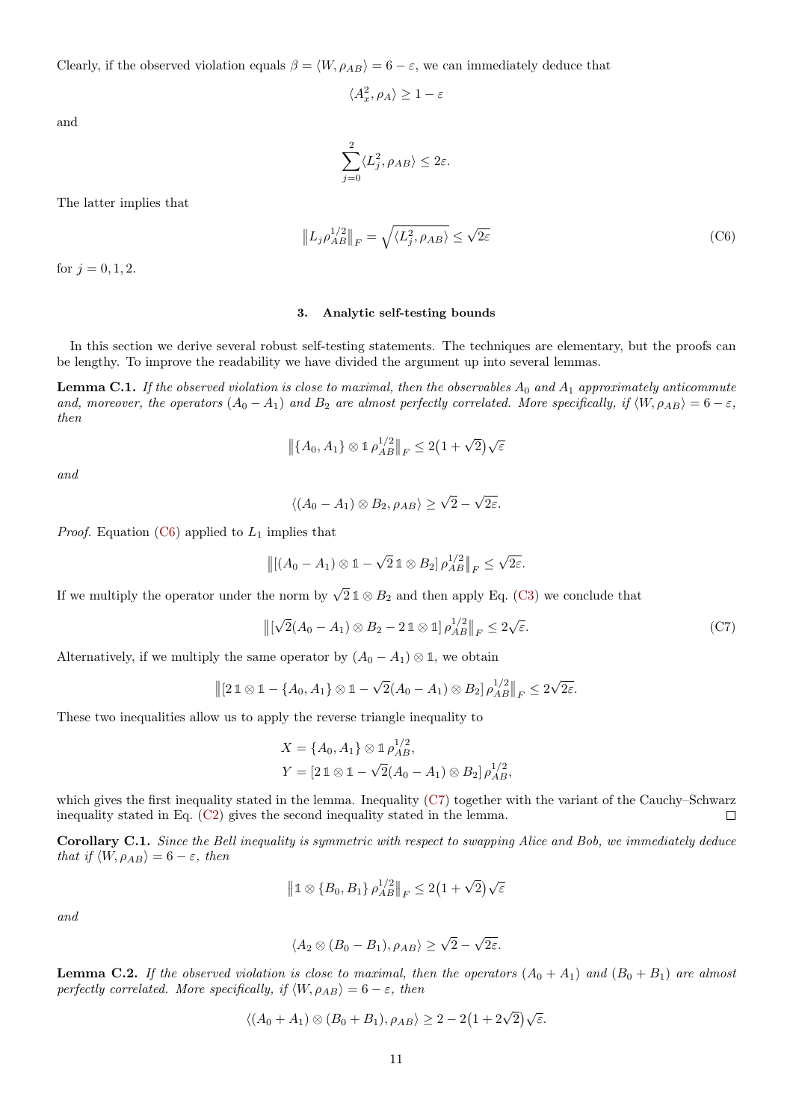Clearly, if the observed violation equals  $\beta = \langle W, \rho_{AB} \rangle = 6 - \varepsilon$ , we can immediately deduce that

$$
\langle A_x^2, \rho_A \rangle \ge 1 - \varepsilon
$$

and

$$
\sum_{j=0}^{2} \langle L_j^2, \rho_{AB} \rangle \leq 2\varepsilon.
$$

The latter implies that

<span id="page-10-1"></span>
$$
||L_j \rho_{AB}^{1/2}||_F = \sqrt{\langle L_j^2, \rho_{AB} \rangle} \le \sqrt{2\varepsilon}
$$
 (C6)

for  $j = 0, 1, 2$ .

# <span id="page-10-0"></span>3. Analytic self-testing bounds

In this section we derive several robust self-testing statements. The techniques are elementary, but the proofs can be lengthy. To improve the readability we have divided the argument up into several lemmas.

<span id="page-10-4"></span>**Lemma C.1.** If the observed violation is close to maximal, then the observables  $A_0$  and  $A_1$  approximately anticommute and, moreover, the operators  $(A_0 - A_1)$  and  $B_2$  are almost perfectly correlated. More specifically, if  $\langle W, \rho_{AB} \rangle = 6 - \varepsilon$ , then

$$
\left\|\{A_0, A_1\} \otimes \mathbb{1} \rho_{AB}^{1/2}\right\|_F \le 2\left(1+\sqrt{2}\right)\sqrt{\varepsilon}
$$

and

$$
\langle (A_0 - A_1) \otimes B_2, \rho_{AB} \rangle \ge \sqrt{2} - \sqrt{2\varepsilon}.
$$

*Proof.* Equation [\(C6\)](#page-10-1) applied to  $L_1$  implies that

$$
\left\| \left[ (A_0 - A_1) \otimes 1 - \sqrt{2} \, \mathbb{1} \otimes B_2 \right] \rho_{AB}^{1/2} \right\|_F \leq \sqrt{2\varepsilon}.
$$

If we multiply the operator under the norm by  $\sqrt{2} \, \mathbb{1} \otimes B_2$  and then apply Eq. [\(C3\)](#page-9-1) we conclude that

<span id="page-10-2"></span>
$$
\left\| \left[ \sqrt{2}(A_0 - A_1) \otimes B_2 - 2 \mathbb{1} \otimes \mathbb{1} \right] \rho_{AB}^{1/2} \right\|_F \le 2\sqrt{\varepsilon}.
$$
 (C7)

Alternatively, if we multiply the same operator by  $(A_0 - A_1) \otimes \mathbb{1}$ , we obtain

$$
\| [2 \, 1 \otimes 1 - \{A_0, A_1\} \otimes 1 - \sqrt{2}(A_0 - A_1) \otimes B_2] \, \rho_{AB}^{1/2} \|_F \leq 2\sqrt{2\varepsilon}.
$$

These two inequalities allow us to apply the reverse triangle inequality to

$$
X = \{A_0, A_1\} \otimes \mathbb{1} \rho_{AB}^{1/2},
$$
  
\n
$$
Y = [2 \mathbb{1} \otimes \mathbb{1} - \sqrt{2}(A_0 - A_1) \otimes B_2] \rho_{AB}^{1/2},
$$

which gives the first inequality stated in the lemma. Inequality [\(C7\)](#page-10-2) together with the variant of the Cauchy–Schwarz inequality stated in Eq. [\(C2\)](#page-9-2) gives the second inequality stated in the lemma.  $\Box$ 

<span id="page-10-3"></span>Corollary C.1. Since the Bell inequality is symmetric with respect to swapping Alice and Bob, we immediately deduce that if  $\langle W, \rho_{AB} \rangle = 6 - \varepsilon$ , then

$$
\left\|1\otimes\{B_0,B_1\}\,\rho_{AB}^{1/2}\right\|_F\leq 2\big(1+\sqrt{2}\big)\sqrt{\varepsilon}
$$

and

$$
\langle A_2 \otimes (B_0 - B_1), \rho_{AB} \rangle \ge \sqrt{2} - \sqrt{2\varepsilon}.
$$

<span id="page-10-5"></span>**Lemma C.2.** If the observed violation is close to maximal, then the operators  $(A_0 + A_1)$  and  $(B_0 + B_1)$  are almost perfectly correlated. More specifically, if  $\langle W, \rho_{AB} \rangle = 6 - \varepsilon$ , then

$$
\langle (A_0 + A_1) \otimes (B_0 + B_1), \rho_{AB} \rangle \ge 2 - 2(1 + 2\sqrt{2})\sqrt{\varepsilon}.
$$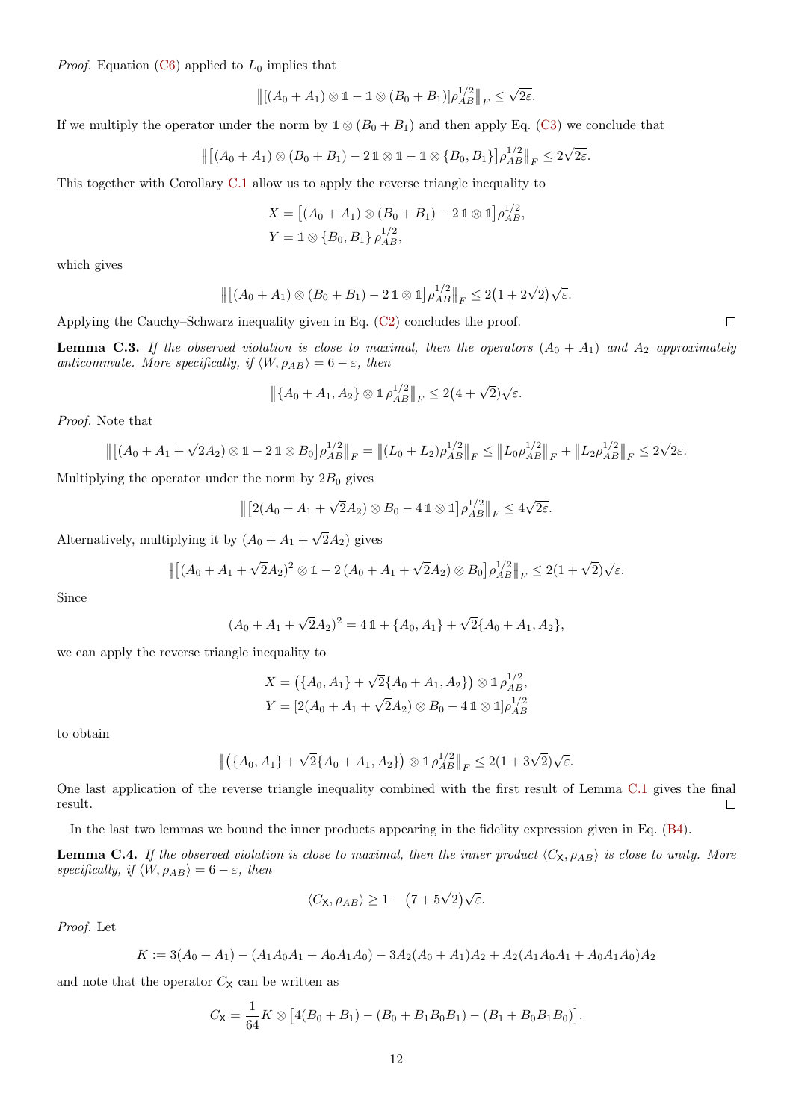*Proof.* Equation [\(C6\)](#page-10-1) applied to  $L_0$  implies that

$$
\|[(A_0+A_1)\otimes\mathbb{1}-\mathbb{1}\otimes(B_0+B_1)]\rho_{AB}^{1/2}\|_F\leq\sqrt{2\varepsilon}.
$$

If we multiply the operator under the norm by  $1 \otimes (B_0 + B_1)$  and then apply Eq. [\(C3\)](#page-9-1) we conclude that

$$
\left\|\left[(A_0+A_1)\otimes(B_0+B_1)-21\otimes1-1\otimes\{B_0,B_1\}\right]\rho_{AB}^{1/2}\right\|_F\leq 2\sqrt{2\varepsilon}.
$$

This together with Corollary [C.1](#page-10-3) allow us to apply the reverse triangle inequality to

$$
X = [(A_0 + A_1) \otimes (B_0 + B_1) - 2 \mathbb{1} \otimes \mathbb{1}] \rho_{AB}^{1/2},
$$
  
 
$$
Y = \mathbb{1} \otimes \{B_0, B_1\} \rho_{AB}^{1/2},
$$

which gives

$$
\| [(A_0 + A_1) \otimes (B_0 + B_1) - 2 \mathbb{1} \otimes \mathbb{1}] \rho_{AB}^{1/2} \|_F \leq 2(1 + 2\sqrt{2})\sqrt{\varepsilon}.
$$

Applying the Cauchy–Schwarz inequality given in Eq. [\(C2\)](#page-9-2) concludes the proof.

<span id="page-11-0"></span>**Lemma C.3.** If the observed violation is close to maximal, then the operators  $(A_0 + A_1)$  and  $A_2$  approximately anticommute. More specifically, if  $\langle W, \rho_{AB} \rangle = 6 - \varepsilon$ , then

$$
\|\{A_0 + A_1, A_2\} \otimes \mathbb{1} \rho_{AB}^{1/2}\|_F \le 2(4 + \sqrt{2})\sqrt{\varepsilon}.
$$

Proof. Note that

$$
\left\|\left[(A_0+A_1+\sqrt{2}A_2)\otimes 1-21\otimes B_0\right]\rho_{AB}^{1/2}\right\|_F=\left\|(L_0+L_2)\rho_{AB}^{1/2}\right\|_F\leq\left\|L_0\rho_{AB}^{1/2}\right\|_F+\left\|L_2\rho_{AB}^{1/2}\right\|_F\leq 2\sqrt{2\varepsilon}.
$$

Multiplying the operator under the norm by  $2B_0$  gives

$$
\| [2(A_0 + A_1 + \sqrt{2}A_2) \otimes B_0 - 4 \mathbb{1} \otimes \mathbb{1}] \rho_{AB}^{1/2} \|_F \le 4\sqrt{2\varepsilon}.
$$

Alternatively, multiplying it by  $(A_0 + A_1 +$ √  $(2A_2)$  gives

$$
\| [(A_0 + A_1 + \sqrt{2}A_2)^2 \otimes 1 - 2(A_0 + A_1 + \sqrt{2}A_2) \otimes B_0] \rho_{AB}^{1/2} \|_F \leq 2(1 + \sqrt{2})\sqrt{\varepsilon}.
$$

Since

$$
(A_0 + A_1 + \sqrt{2}A_2)^2 = 41 + \{A_0, A_1\} + \sqrt{2}\{A_0 + A_1, A_2\},
$$

we can apply the reverse triangle inequality to

$$
X = (\{A_0, A_1\} + \sqrt{2}\{A_0 + A_1, A_2\}) \otimes \mathbb{1} \rho_{AB}^{1/2},
$$
  

$$
Y = [2(A_0 + A_1 + \sqrt{2}A_2) \otimes B_0 - 4 \mathbb{1} \otimes \mathbb{1}] \rho_{AB}^{1/2}
$$

1/2

to obtain

$$
\left\| \left( \{A_0, A_1\} + \sqrt{2} \{A_0 + A_1, A_2\} \right) \otimes \mathbb{1} \rho_{AB}^{1/2} \right\|_F \leq 2(1 + 3\sqrt{2})\sqrt{\varepsilon}.
$$

One last application of the reverse triangle inequality combined with the first result of Lemma [C.1](#page-10-4) gives the final result.  $\Box$ 

In the last two lemmas we bound the inner products appearing in the fidelity expression given in Eq. [\(B4\)](#page-9-3).

**Lemma C.4.** If the observed violation is close to maximal, then the inner product  $\langle C_{\mathsf{X}}, \rho_{AB} \rangle$  is close to unity. More specifically, if  $\langle W, \rho_{AB} \rangle = 6 - \varepsilon$ , then

$$
\langle C_{\mathsf{X}}, \rho_{AB} \rangle \ge 1 - (7 + 5\sqrt{2})\sqrt{\varepsilon}.
$$

Proof. Let

$$
K := 3(A_0 + A_1) - (A_1A_0A_1 + A_0A_1A_0) - 3A_2(A_0 + A_1)A_2 + A_2(A_1A_0A_1 + A_0A_1A_0)A_2
$$

and note that the operator  $C_{\mathsf{X}}$  can be written as

$$
C_{\mathsf{X}} = \frac{1}{64}K \otimes [4(B_0 + B_1) - (B_0 + B_1B_0B_1) - (B_1 + B_0B_1B_0)].
$$

 $\Box$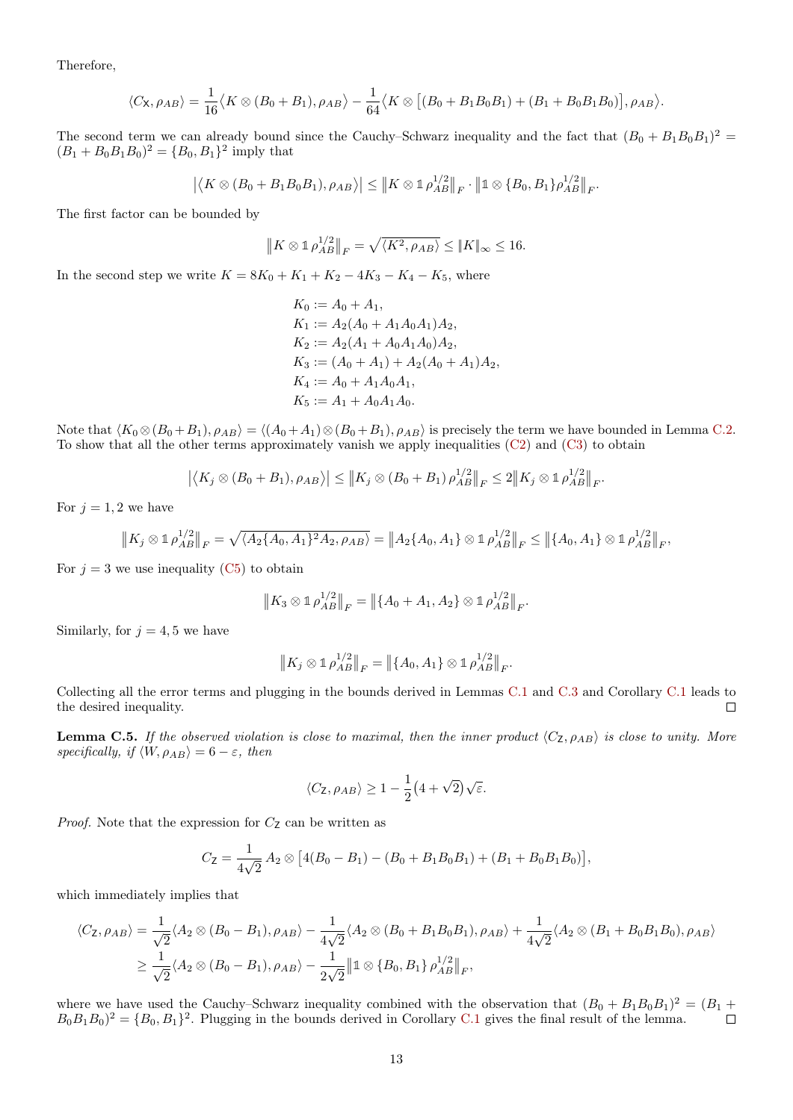Therefore,

$$
\langle C_{\mathsf{X}}, \rho_{AB} \rangle = \frac{1}{16} \langle K \otimes (B_0 + B_1), \rho_{AB} \rangle - \frac{1}{64} \langle K \otimes [(B_0 + B_1 B_0 B_1) + (B_1 + B_0 B_1 B_0)], \rho_{AB} \rangle.
$$

The second term we can already bound since the Cauchy–Schwarz inequality and the fact that  $(B_0 + B_1B_0B_1)^2$  $(B_1 + B_0 B_1 B_0)^2 = \{B_0, B_1\}^2$  imply that

$$
|\langle K \otimes (B_0 + B_1 B_0 B_1), \rho_{AB} \rangle| \le ||K \otimes 1 \rho_{AB}^{1/2}||_F \cdot ||1 \otimes {B_0, B_1} \rho_{AB}^{1/2}||_F.
$$

The first factor can be bounded by

$$
\left\|K\otimes\mathbb{1}\rho_{AB}^{1/2}\right\|_{F}=\sqrt{\langle K^2,\rho_{AB}\rangle}\leq\|K\|_{\infty}\leq16.
$$

In the second step we write  $K = 8K_0 + K_1 + K_2 - 4K_3 - K_4 - K_5$ , where

 $K_0 := A_0 + A_1,$  $K_1 := A_2(A_0 + A_1A_0A_1)A_2,$  $K_2 := A_2(A_1 + A_0A_1A_0)A_2,$  $K_3 := (A_0 + A_1) + A_2(A_0 + A_1)A_2,$  $K_4 := A_0 + A_1 A_0 A_1,$  $K_5 := A_1 + A_0 A_1 A_0.$ 

Note that  $\langle K_0 \otimes (B_0 + B_1), \rho_{AB} \rangle = \langle (A_0 + A_1) \otimes (B_0 + B_1), \rho_{AB} \rangle$  is precisely the term we have bounded in Lemma [C.2.](#page-10-5) To show that all the other terms approximately vanish we apply inequalities [\(C2\)](#page-9-2) and [\(C3\)](#page-9-1) to obtain

$$
\left| \left\langle K_j \otimes (B_0 + B_1), \rho_{AB} \right\rangle \right| \leq \left\| K_j \otimes (B_0 + B_1) \rho_{AB}^{1/2} \right\|_F \leq 2 \left\| K_j \otimes \mathbb{1} \rho_{AB}^{1/2} \right\|_F.
$$

For  $j = 1, 2$  we have

$$
\left\| K_j \otimes \mathbb{1}_{\rho_{AB}^{1/2}} \right\|_F = \sqrt{\langle A_2 \{ A_0, A_1 \}^2 A_2, \rho_{AB} \rangle} = \left\| A_2 \{ A_0, A_1 \} \otimes \mathbb{1}_{\rho_{AB}^{1/2}} \right\|_F \le \left\| \{ A_0, A_1 \} \otimes \mathbb{1}_{\rho_{AB}^{1/2}} \right\|_F,
$$

For  $j = 3$  we use inequality [\(C5\)](#page-9-4) to obtain

$$
\left\| K_3 \otimes \mathbb{1}_{\rho_{AB}^{1/2}} \right\|_F = \left\| \{ A_0 + A_1, A_2 \} \otimes \mathbb{1}_{\rho_{AB}^{1/2}} \right\|_F.
$$

Similarly, for  $j = 4, 5$  we have

$$
\left\|K_j \otimes \mathbb{1}_{\rho_{AB}^{1/2}}\right\|_F = \left\|\{A_0, A_1\} \otimes \mathbb{1}_{\rho_{AB}^{1/2}}\right\|_F.
$$

Collecting all the error terms and plugging in the bounds derived in Lemmas [C.1](#page-10-4) and [C.3](#page-11-0) and Corollary [C.1](#page-10-3) leads to the desired inequality.  $\Box$ 

**Lemma C.5.** If the observed violation is close to maximal, then the inner product  $\langle C_2, \rho_{AB} \rangle$  is close to unity. More specifically, if  $\langle W, \rho_{AB} \rangle = 6 - \varepsilon$ , then

$$
\langle C_{\mathbf{Z}}, \rho_{AB} \rangle \ge 1 - \frac{1}{2} (4 + \sqrt{2}) \sqrt{\varepsilon}.
$$

*Proof.* Note that the expression for  $C_2$  can be written as

$$
C_{\mathsf{Z}} = \frac{1}{4\sqrt{2}} A_2 \otimes [4(B_0 - B_1) - (B_0 + B_1 B_0 B_1) + (B_1 + B_0 B_1 B_0)],
$$

which immediately implies that

$$
\langle C_{\mathbf{Z}}, \rho_{AB} \rangle = \frac{1}{\sqrt{2}} \langle A_2 \otimes (B_0 - B_1), \rho_{AB} \rangle - \frac{1}{4\sqrt{2}} \langle A_2 \otimes (B_0 + B_1 B_0 B_1), \rho_{AB} \rangle + \frac{1}{4\sqrt{2}} \langle A_2 \otimes (B_1 + B_0 B_1 B_0), \rho_{AB} \rangle
$$
  

$$
\geq \frac{1}{\sqrt{2}} \langle A_2 \otimes (B_0 - B_1), \rho_{AB} \rangle - \frac{1}{2\sqrt{2}} ||1 \otimes \{B_0, B_1\} \rho_{AB}^{1/2}||_F,
$$

where we have used the Cauchy–Schwarz inequality combined with the observation that  $(B_0 + B_1 B_0 B_1)^2 = (B_1 +$  $B_0B_1B_0^2 = \{B_0, B_1\}^2$ . Plugging in the bounds derived in Corollary [C.1](#page-10-3) gives the final result of the lemma.  $\Box$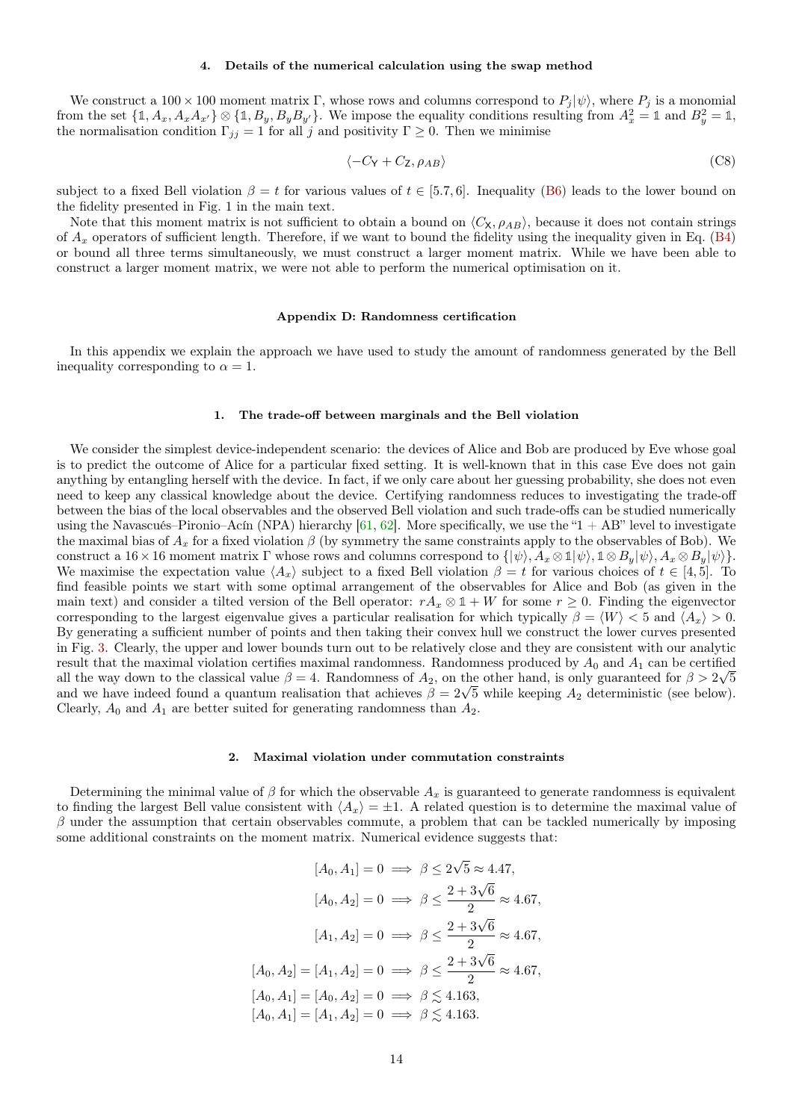### <span id="page-13-1"></span>4. Details of the numerical calculation using the swap method

We construct a  $100 \times 100$  moment matrix Γ, whose rows and columns correspond to  $P_j |\psi\rangle$ , where  $P_j$  is a monomial from the set  $\{1, A_x, A_xA_{x'}\} \otimes \{1, B_y, B_yB_{y'}\}$ . We impose the equality conditions resulting from  $A_x^2 = 1$  and  $B_y^2 = 1$ , the normalisation condition  $\Gamma_{jj} = 1$  for all j and positivity  $\Gamma \geq 0$ . Then we minimise

$$
\langle -C_{\mathsf{Y}} + C_{\mathsf{Z}}, \rho_{AB} \rangle \tag{C8}
$$

subject to a fixed Bell violation  $\beta = t$  for various values of  $t \in [5.7, 6]$ . Inequality [\(B6\)](#page-9-5) leads to the lower bound on the fidelity presented in Fig. 1 in the main text.

Note that this moment matrix is not sufficient to obtain a bound on  $\langle C_{\mathsf{X}}, \rho_{AB} \rangle$ , because it does not contain strings of  $A_x$  operators of sufficient length. Therefore, if we want to bound the fidelity using the inequality given in Eq. [\(B4\)](#page-9-3) or bound all three terms simultaneously, we must construct a larger moment matrix. While we have been able to construct a larger moment matrix, we were not able to perform the numerical optimisation on it.

### <span id="page-13-0"></span>Appendix D: Randomness certification

In this appendix we explain the approach we have used to study the amount of randomness generated by the Bell inequality corresponding to  $\alpha = 1$ .

### 1. The trade-off between marginals and the Bell violation

We consider the simplest device-independent scenario: the devices of Alice and Bob are produced by Eve whose goal is to predict the outcome of Alice for a particular fixed setting. It is well-known that in this case Eve does not gain anything by entangling herself with the device. In fact, if we only care about her guessing probability, she does not even need to keep any classical knowledge about the device. Certifying randomness reduces to investigating the trade-off between the bias of the local observables and the observed Bell violation and such trade-offs can be studied numerically using the Navascués–Pironio–Acín (NPA) hierarchy [\[61,](#page-15-27) [62\]](#page-15-28). More specifically, we use the " $1 + AB$ " level to investigate the maximal bias of  $A_x$  for a fixed violation  $\beta$  (by symmetry the same constraints apply to the observables of Bob). We construct a  $16 \times 16$  moment matrix  $\Gamma$  whose rows and columns correspond to  $\{|\psi\rangle, A_x \otimes \mathbb{1}|\psi\rangle, \mathbb{1} \otimes B_y|\psi\rangle, A_x \otimes B_y|\psi\rangle\}.$ We maximise the expectation value  $\langle A_x \rangle$  subject to a fixed Bell violation  $\beta = t$  for various choices of  $t \in [4, 5]$ . To find feasible points we start with some optimal arrangement of the observables for Alice and Bob (as given in the main text) and consider a tilted version of the Bell operator:  $r A_x \otimes \mathbb{1} + W$  for some  $r \geq 0$ . Finding the eigenvector corresponding to the largest eigenvalue gives a particular realisation for which typically  $\beta = \langle W \rangle < 5$  and  $\langle A_x \rangle > 0$ . By generating a sufficient number of points and then taking their convex hull we construct the lower curves presented in Fig. [3.](#page-14-11) Clearly, the upper and lower bounds turn out to be relatively close and they are consistent with our analytic result that the maximal violation certifies maximal randomness. Randomness produced by  $A_0$  and  $A_1$  can be certified all the way down to the classical value  $\beta = 4$ . Randomness of  $A_2$ , on the other hand, is only guaranteed for  $\beta > 2\sqrt{5}$ all the way down to the classical value  $\beta = 4$ . Kandomness of  $A_2$ , on the other hand, is only guaranteed for  $\beta > 2\sqrt{5}$  and we have indeed found a quantum realisation that achieves  $\beta = 2\sqrt{5}$  while keeping  $A_2$  de Clearly,  $A_0$  and  $A_1$  are better suited for generating randomness than  $A_2$ .

### 2. Maximal violation under commutation constraints

Determining the minimal value of  $\beta$  for which the observable  $A_x$  is guaranteed to generate randomness is equivalent to finding the largest Bell value consistent with  $\langle A_x \rangle = \pm 1$ . A related question is to determine the maximal value of  $\beta$  under the assumption that certain observables commute, a problem that can be tackled numerically by imposing some additional constraints on the moment matrix. Numerical evidence suggests that:

$$
[A_0, A_1] = 0 \implies \beta \le 2\sqrt{5} \approx 4.47,
$$
  
\n
$$
[A_0, A_2] = 0 \implies \beta \le \frac{2 + 3\sqrt{6}}{2} \approx 4.67,
$$
  
\n
$$
[A_1, A_2] = 0 \implies \beta \le \frac{2 + 3\sqrt{6}}{2} \approx 4.67,
$$
  
\n
$$
[A_0, A_2] = [A_1, A_2] = 0 \implies \beta \le \frac{2 + 3\sqrt{6}}{2} \approx 4.67,
$$
  
\n
$$
[A_0, A_1] = [A_0, A_2] = 0 \implies \beta \le 4.163,
$$
  
\n
$$
[A_0, A_1] = [A_1, A_2] = 0 \implies \beta \le 4.163.
$$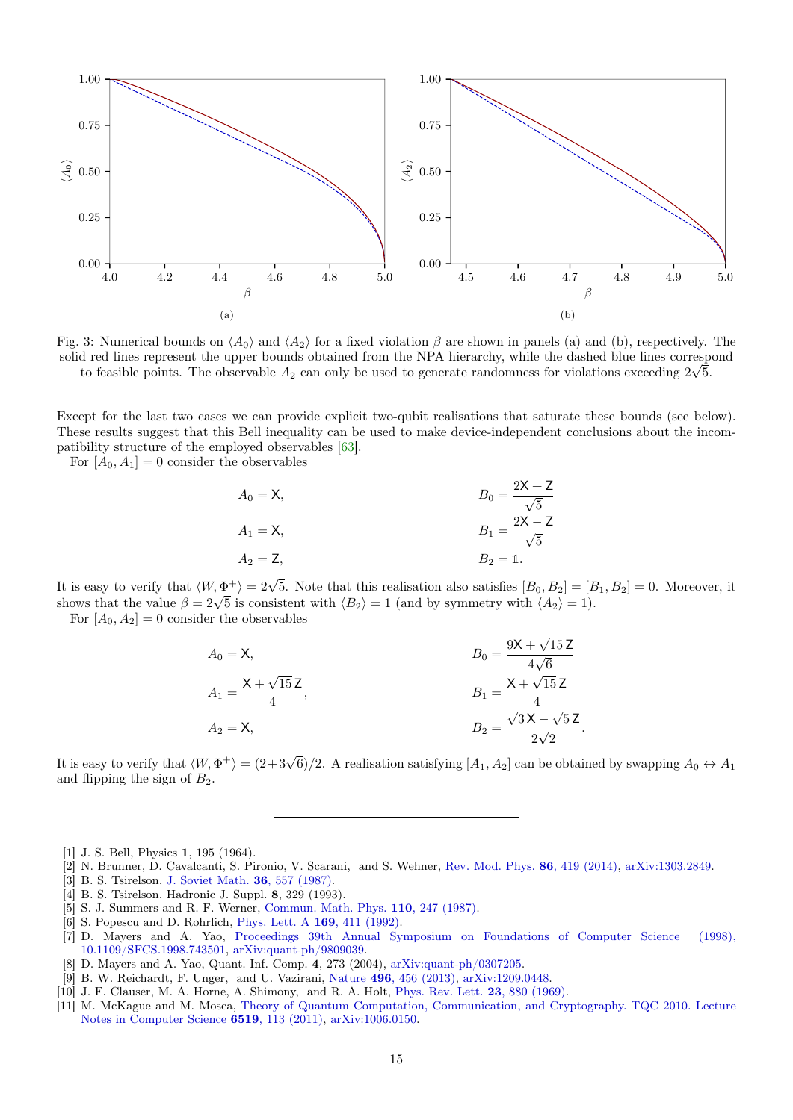<span id="page-14-11"></span>

Fig. 3: Numerical bounds on  $\langle A_0 \rangle$  and  $\langle A_2 \rangle$  for a fixed violation  $\beta$  are shown in panels (a) and (b), respectively. The solid red lines represent the upper bounds obtained from the NPA hierarchy, while the dashed blue lines correspond to feasible points. The observable  $A_2$  can only be used to generate randomness for violations exceeding  $2\sqrt{5}$ .

Except for the last two cases we can provide explicit two-qubit realisations that saturate these bounds (see below). These results suggest that this Bell inequality can be used to make device-independent conclusions about the incompatibility structure of the employed observables [\[63\]](#page-15-29).

For  $[A_0, A_1] = 0$  consider the observables

$$
A_0 = \mathsf{X},
$$
  
\n $A_1 = \mathsf{X},$   
\n $A_2 = \mathsf{Z},$   
\n $B_0 = \frac{2\mathsf{X} + \mathsf{Z}}{\sqrt{5}}$   
\n $B_1 = \frac{2\mathsf{X} - \mathsf{Z}}{\sqrt{5}}$   
\n $B_2 = \mathsf{I}.$ 

It is easy to verify that  $\langle W, \Phi^+ \rangle = 2\sqrt{5}$ . Note that this realisation also satisfies  $[B_0, B_2] = [B_1, B_2] = 0$ . Moreover, it shows that the value  $\beta = 2\sqrt{5}$  is consistent with  $\langle B_2 \rangle = 1$  (and by symmetry with  $\langle A_2 \rangle = 1$ ).

For  $[A_0, A_2] = 0$  consider the observables

$$
A_0 = X,
$$
  
\n
$$
A_1 = \frac{X + \sqrt{15} Z}{4},
$$
  
\n
$$
A_2 = X,
$$
  
\n
$$
B_0 = \frac{9X + \sqrt{15} Z}{4\sqrt{6}}
$$
  
\n
$$
B_1 = \frac{X + \sqrt{15} Z}{4}
$$
  
\n
$$
B_2 = \frac{\sqrt{3}X - \sqrt{5}Z}{2\sqrt{2}}.
$$

It is easy to verify that  $\langle W, \Phi^+ \rangle = (2+3\sqrt{6})/2$ . A realisation satisfying  $[A_1, A_2]$  can be obtained by swapping  $A_0 \leftrightarrow A_1$ and flipping the sign of  $B_2$ .

- <span id="page-14-0"></span>[1] J. S. Bell, Physics **1**, 195 (1964).
- <span id="page-14-1"></span>[2] N. Brunner, D. Cavalcanti, S. Pironio, V. Scarani, and S. Wehner, [Rev. Mod. Phys.](http://dx.doi.org/ 10.1103/RevModPhys.86.419) 86, 419 (2014), [arXiv:1303.2849.](http://arxiv.org/abs/1303.2849)
- <span id="page-14-2"></span>[3] B. S. Tsirelson, [J. Soviet Math.](http://dx.doi.org/10.1007/BF01663472) 36, 557 (1987).
- <span id="page-14-3"></span>[4] B. S. Tsirelson, Hadronic J. Suppl. 8, 329 (1993).
- <span id="page-14-4"></span>[5] S. J. Summers and R. F. Werner, [Commun. Math. Phys.](http://dx.doi.org/10.1007/BF01207366) 110, 247 (1987).
- <span id="page-14-5"></span>[6] S. Popescu and D. Rohrlich, [Phys. Lett. A](http://dx.doi.org/10.1016/0375-9601(92)90819-8) 169, 411 (1992).
- <span id="page-14-6"></span>[7] D. Mayers and A. Yao, [Proceedings 39th Annual Symposium on Foundations of Computer Science \(1998\),](http://dx.doi.org/10.1109/SFCS.1998.743501) [10.1109/SFCS.1998.743501,](http://dx.doi.org/10.1109/SFCS.1998.743501) [arXiv:quant-ph/9809039.](http://arxiv.org/abs/quant-ph/9809039)
- <span id="page-14-7"></span>[8] D. Mayers and A. Yao, Quant. Inf. Comp. 4, 273 (2004), [arXiv:quant-ph/0307205.](http://arxiv.org/abs/quant-ph/0307205)
- <span id="page-14-8"></span>[9] B. W. Reichardt, F. Unger, and U. Vazirani, Nature 496[, 456 \(2013\),](http://dx.doi.org/10.1038/nature12035) [arXiv:1209.0448.](http://arxiv.org/abs/1209.0448)
- <span id="page-14-9"></span>[10] J. F. Clauser, M. A. Horne, A. Shimony, and R. A. Holt, [Phys. Rev. Lett.](http://dx.doi.org/10.1103/PhysRevLett.23.880) 23, 880 (1969).
- <span id="page-14-10"></span>[11] M. McKague and M. Mosca, [Theory of Quantum Computation, Communication, and Cryptography. TQC 2010. Lecture](http://dx.doi.org/10.1007/978-3-642-18073-6_10) [Notes in Computer Science](http://dx.doi.org/10.1007/978-3-642-18073-6_10) 6519, 113 (2011), [arXiv:1006.0150.](http://arxiv.org/abs/1006.0150)